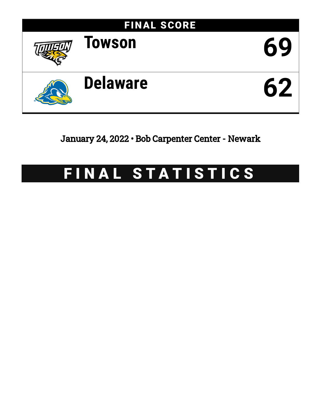

January 24, 2022 • Bob Carpenter Center - Newark

# FINAL STATISTICS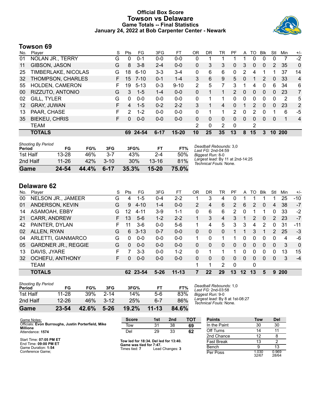### **Official Box Score Towson vs Delaware Game Totals -- Final Statistics January 24, 2022 at Bob Carpenter Center - Newark**



## **Towson 69**

| No. | Plaver                 | S  | <b>Pts</b>    | FG       | 3FG      | FT        | 0R | DR | TR | PF            | A            | TO | <b>B</b> lk  | Stl      | Min        | $+/-$          |
|-----|------------------------|----|---------------|----------|----------|-----------|----|----|----|---------------|--------------|----|--------------|----------|------------|----------------|
| 01  | NOLAN JR., TERRY       | G  | 0             | $0 - 1$  | $0 - 0$  | $0-0$     | 0  |    |    |               |              | 0  | 0            | 0        | 7          | $-2$           |
| 11  | GIBSON, JASON          | G  | 8             | $3 - 8$  | $2 - 4$  | $0 - 0$   | 0  | 3  | 3  | 0             | 3            | 0  | 0            | 2        | 35         | $\mathbf{0}$   |
| 25  | TIMBERLAKE, NICOLAS    | G  | 18            | $6 - 10$ | $3 - 3$  | $3 - 4$   | 0  | 6  | 6  | 0             | 2            | 4  |              |          | 37         | 14             |
| 32  | THOMPSON, CHARLES      | F. | 15            | $7 - 10$ | $0 - 1$  | $1 - 4$   | 3  | 6  | 9  | 5             | $\mathbf{0}$ | 1  | 2            | $\Omega$ | 33         | $\overline{4}$ |
| 55  | <b>HOLDEN, CAMERON</b> | F. | 19            | $5 - 13$ | $0 - 3$  | $9 - 10$  | 2  | 5  | 7  | 3             | 1            | 4  | $\mathbf{0}$ | 6        | 34         | 6              |
| 00  | RIZZUTO, ANTONIO       | G  | 3             | $1 - 5$  | $1 - 4$  | $0 - 0$   | 0  |    |    | $\mathcal{P}$ | $\Omega$     | 0  | $\Omega$     | 0        | 23         | $\overline{7}$ |
| 02  | GILL, TYLER            | G  | $\Omega$      | $0 - 0$  | $0 - 0$  | $0 - 0$   | 0  |    |    | 0             | $\Omega$     | 0  | 0            | 0        | 2          | 5              |
| 12  | <b>GRAY, JUWAN</b>     | F  | 4             | $1 - 5$  | $0 - 2$  | $2 - 2$   | 3  |    | 4  | $\Omega$      |              | 2  | $\mathbf{0}$ | $\Omega$ | 23         | $\overline{2}$ |
| 13  | PAAR, CHASE            |    | $\mathcal{P}$ | $1 - 2$  | $0 - 0$  | $0 - 0$   | 0  |    |    | 2             | 0            | 2  | 0            |          | 6          | -5             |
| 35  | <b>BIEKEU, CHRIS</b>   | F. | 0             | $0 - 0$  | $0 - 0$  | $0 - 0$   | 0  | 0  | 0  | 0             | $\Omega$     | 0  | 0            | 0        | 1          | 4              |
|     | TEAM                   |    |               |          |          |           | 2  | 0  | 2  | 0             |              | 2  |              |          |            |                |
|     | <b>TOTALS</b>          |    | 69            | 24-54    | $6 - 17$ | $15 - 20$ | 10 | 25 | 35 | 13            | 8            | 15 | 3            | 10       | <b>200</b> |                |

| Game                                | 24-54     | 44.4% | $6-17$   | 35.3% | $15 - 20$ | 75.0% |                                                            |
|-------------------------------------|-----------|-------|----------|-------|-----------|-------|------------------------------------------------------------|
| 2nd Half                            | $11 - 26$ | 42%   | $3 - 10$ | 30%   | $13 - 16$ | 81%   | Largest lead: By 11 at 2nd-14:25<br>Technical Fouls: None. |
| 1st Half                            | 13-28     | 46%   | $3 - 7$  | 43%   | $2 - 4$   | 50%   | Biggest Run: 8-0                                           |
| <b>Shooting By Period</b><br>Period | FG        | FG%   | 3FG      | 3FG%  | <b>FT</b> | FT%   | Deadball Rebounds: 3,0<br>Last FG: 2nd-04:59               |

# **Delaware 62**

| No. | Plaver                     | S  | Pts      | FG       | 3FG      | FT        | OR             | DR       | TR       | PF                    | A        | TΩ | <b>B</b> lk   | Stl      | Min        | $+/-$        |
|-----|----------------------------|----|----------|----------|----------|-----------|----------------|----------|----------|-----------------------|----------|----|---------------|----------|------------|--------------|
| 00  | NELSON JR., JAMEER         | G  | 4        | 1-5      | $0 - 4$  | $2 - 2$   |                | 3        | 4        | 0                     |          |    |               |          | 25         | $-10$        |
| 01  | ANDERSON, KEVIN            | G  | 9        | $4 - 10$ | $1 - 4$  | $0 - 0$   | $\overline{2}$ | 4        | 6        | $\mathbf{2}^{\prime}$ | 6        | 2  | 0             | 4        | 38         | $-7$         |
| 14  | ASAMOAH, EBBY              | G  | 12       | $4 - 11$ | $3-9$    | $1 - 1$   | 0              | 6        | 6        | 2                     | 0        |    |               | 0        | 33         | $-2$         |
| 21  | CARR, ANDREW               | F. | 13       | $5-6$    | $1 - 2$  | $2 - 2$   | $\mathbf{1}$   | 3        | 4        | 3                     | 1        | 2  | $\mathbf{0}$  | 2        | 23         | $-7$         |
| 42  | PAINTER, DYLAN             | F. | 11       | $3-6$    | $0 - 0$  | $5-6$     | 1.             | 4        | 5        | 3                     | 3        | 4  | $\mathcal{P}$ | 0        | 31         | -11          |
| 02  | ALLEN, RYAN                | G  | 6        | $3 - 13$ | $0 - 7$  | $0 - 0$   | 0              | 0        | $\Omega$ |                       | 1        | 3  |               | 2        | 25         | $-3$         |
| 04  | ARLETTI, GIANMARCO         | G  | $\Omega$ | $0 - 0$  | $0 - 0$  | $0 - 0$   |                | $\Omega$ |          |                       | 0        | 0  | $\Omega$      | 0        | 4          | -6           |
| 05  | <b>GARDNER JR., REGGIE</b> | G  | $\Omega$ | $0 - 0$  | $0 - 0$  | $0 - 0$   | 0              | 0        | $\Omega$ | 0                     | 0        | 0  | 0             | $\Omega$ | 3          | $\mathbf{0}$ |
| 13  | DAVIS, JYARE               | F  |          | $3 - 3$  | $0 - 0$  | $1 - 2$   | 0              |          |          |                       | 0        | 0  | 0             | 0        | 13         | 15           |
| 32  | OCHEFU, ANTHONY            | F. | 0        | $0 - 0$  | $0 - 0$  | $0 - 0$   | 0              | 0        | $\Omega$ | 0                     | $\Omega$ | 0  | $\Omega$      | 0        | 3          | $-4$         |
|     | <b>TEAM</b>                |    |          |          |          |           | 4              |          | 2        | $\Omega$              |          | 0  |               |          |            |              |
|     | <b>TOTALS</b>              |    | 62       | 23-54    | $5 - 26$ | $11 - 13$ | 7              | 22       | 29       | 13                    | $12 \,$  | 13 | 5             | 9        | <b>200</b> |              |

| Game                                | 23-54     | 42.6% | $5 - 26$ | 19.2% | $11 - 13$ | 84.6% |
|-------------------------------------|-----------|-------|----------|-------|-----------|-------|
| 2nd Half                            | $12 - 26$ | 46%   | $3 - 12$ | 25%   | 6-7       | 86%   |
| 1st Half                            | $11 - 28$ | 39%   | $2 - 14$ | 14%   | $5-6$     | 83%   |
| <b>Shooting By Period</b><br>Period | FG        | FG%   | 3FG      | 3FG%  | FТ        | FT%   |

*Deadball Rebounds:* 1,0 *Last FG:* 2nd-03:58 *Biggest Run:* 9-0 *Largest lead:* By 8 at 1st-08:27 *Technical Fouls:* None.

| Game Notes:                                                            | <b>Score</b>                             | 1st | 2 <sub>nd</sub> | тот | <b>Points</b> | Tow            | Del            |
|------------------------------------------------------------------------|------------------------------------------|-----|-----------------|-----|---------------|----------------|----------------|
| Officials: Evon Burroughs, Justin Porterfield, Mike<br><b>Millione</b> | Tow                                      | 31  | 38              | 69  | In the Paint  | 30             | 30             |
| Attendance: 1574                                                       | Del                                      | 29  | 33              | 62  | Off Turns     |                | 11             |
|                                                                        |                                          |     |                 |     | 2nd Chance    |                |                |
| Start Time: 07:05 PM ET<br>End Time: 09:00 PM ET                       | Tow led for 18:34. Del led for 13:40.    |     |                 |     | Fast Break    |                |                |
| Game Duration: 1:54                                                    | Game was tied for 7:47.<br>Times tied: 7 |     | Lead Changes: 3 |     | Bench         |                | 13             |
| Conference Game:                                                       |                                          |     |                 |     | Per Poss      | 1.030<br>32/67 | 0.969<br>28/64 |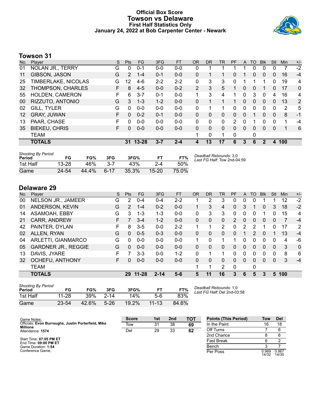#### **Official Box Score Towson vs Delaware First Half Statistics Only January 24, 2022 at Bob Carpenter Center - Newark**



# **Towson 31**

| No. | Player                 | S  | <b>Pts</b> | FG        | 3FG     | <b>FT</b> | <b>OR</b> | <b>DR</b> | <b>TR</b>    | PF | A        | TO       | <b>Blk</b>  | Stl          | Min            | $+/-$ |
|-----|------------------------|----|------------|-----------|---------|-----------|-----------|-----------|--------------|----|----------|----------|-------------|--------------|----------------|-------|
| 01  | NOLAN JR., TERRY       | G  | 0          | $0 - 1$   | $0-0$   | $0-0$     | 0         |           |              |    |          | 0        | 0           | 0            |                | $-2$  |
| 11  | GIBSON, JASON          | G  | 2          | $1 - 4$   | $0 - 1$ | $0 - 0$   | 0         |           |              | 0  |          | 0        | 0           | 0            | 16             | $-4$  |
| 25  | TIMBERLAKE, NICOLAS    | G  | 12         | $4-6$     | $2 - 2$ | $2 - 2$   | 0         | 3         | 3            | 0  |          |          | 1           | $\mathbf{0}$ | 19             | 4     |
| 32  | THOMPSON, CHARLES      | F. | 8          | $4 - 5$   | $0 - 0$ | $0 - 2$   | 2         | 3         | 5            |    | 0        | $\Omega$ |             | 0            | 17             | 0     |
| 55  | <b>HOLDEN, CAMERON</b> | F. | 6          | $3 - 7$   | $0 - 1$ | $0 - 0$   |           | 3         | 4            | 1  | 0        | 3        | 0           | 4            | 16             | 4     |
| 00  | RIZZUTO, ANTONIO       | G  | 3          | $1 - 3$   | $1 - 2$ | $0 - 0$   | $\Omega$  | 1         |              |    | $\Omega$ | $\Omega$ | 0           | $\Omega$     | 13             | 2     |
| 02  | <b>GILL, TYLER</b>     | G  | 0          | $0 - 0$   | $0 - 0$ | $0 - 0$   | 0         | 1         |              | 0  | 0        | 0        | $\Omega$    | 0            | $\overline{2}$ | 5     |
| 12  | <b>GRAY, JUWAN</b>     | F. | $\Omega$   | $0 - 2$   | $0 - 1$ | $0 - 0$   | 0         | 0         | $\Omega$     | 0  | 0        |          | $\Omega$    | $\mathbf{0}$ | 8              | -1    |
| 13  | PAAR, CHASE            |    | 0          | $0 - 0$   | $0 - 0$ | $0 - 0$   | 0         | $\Omega$  | 0            | 2  | 0        |          | 0           | 0            | 1              | -4    |
| 35  | <b>BIEKEU, CHRIS</b>   | F. | 0          | $0 - 0$   | $0 - 0$ | $0 - 0$   | 0         | 0         | $\mathbf{0}$ | 0  | 0        | $\Omega$ | $\Omega$    | 0            | 1              | 6     |
|     | <b>TEAM</b>            |    |            |           |         |           | 1         | 0         |              | 0  |          | 0        |             |              |                |       |
|     | <b>TOTALS</b>          |    | 31         | $13 - 28$ | $3 - 7$ | $2 - 4$   | 4         | 13        | 17           | 6  | 3        | 6        | $\mathbf 2$ | 4            | 100            |       |
|     |                        |    |            |           |         |           |           |           |              |    |          |          |             |              |                |       |

| <b>Shooting By Period</b><br>Period | FG        | FG%   | 3FG      | 3FG%  | F1        | FT%   | Deadball Rebounds: 3,0<br>Last FG Half: Tow 2nd-04:59 |
|-------------------------------------|-----------|-------|----------|-------|-----------|-------|-------------------------------------------------------|
| 1st Half                            | $13 - 28$ | 46%   | 3-7      | 43%   | $2 - 4$   | 50%   |                                                       |
| Game                                | 24-54     | 44.4% | $6 - 17$ | 35.3% | $15 - 20$ | 75.0% |                                                       |

# **Delaware 29**

| No. | Player                     | S | <b>Pts</b>    | FG        | 3FG      | <b>FT</b> | <b>OR</b> | <b>DR</b> | TR             | PF       | A | TO           | <b>Blk</b> | Stl      | Min | $+/-$    |
|-----|----------------------------|---|---------------|-----------|----------|-----------|-----------|-----------|----------------|----------|---|--------------|------------|----------|-----|----------|
| 00  | NELSON JR., JAMEER         | G | 2             | $0 - 4$   | $0 - 4$  | $2 - 2$   |           | 2         | 3              |          | 0 | 0            |            |          | 12  | $-2$     |
| 01  | ANDERSON, KEVIN            | G | $\mathcal{P}$ | $1 - 4$   | $0 - 2$  | $0 - 0$   |           | 3         | 4              | 0        | 3 |              | 0          | 3        | 18  | $-2$     |
| 14  | ASAMOAH, EBBY              | G | 3             | 1-3       | 1-3      | $0 - 0$   | 0         | 3         | 3              | 0        | 0 | 0            |            | 0        | 15  | 4        |
| 21  | CARR, ANDREW               | F |               | $3-4$     | $1 - 2$  | $0 - 0$   | 0         | 0         | 0              | 2        | 0 | 0            | 0          | 0        | 7   | $-4$     |
| 42  | PAINTER, DYLAN             | F | 8             | $3 - 5$   | $0 - 0$  | $2 - 2$   | 1         | 1         | $\overline{2}$ | 0        | 2 | 2            |            | 0        | 17  | 2        |
| 02  | ALLEN, RYAN                | G | 0             | $0 - 5$   | $0 - 3$  | $0 - 0$   | 0         | 0         | 0              | 0        |   | 2            | 0          |          | 13  | $-4$     |
| 04  | ARLETTI, GIANMARCO         | G | 0             | $0 - 0$   | $0 - 0$  | $0 - 0$   |           | $\Omega$  |                |          | 0 | 0            | 0          | $\Omega$ | 4   | -6       |
| 05  | <b>GARDNER JR., REGGIE</b> | G | 0             | $0 - 0$   | $0 - 0$  | $0 - 0$   | 0         | 0         | 0              | 0        | 0 | 0            | 0          | $\Omega$ | 3   | $\Omega$ |
| 13  | DAVIS, JYARE               | F |               | $3 - 3$   | $0 - 0$  | $1 - 2$   | $\Omega$  |           |                | 0        | 0 | 0            | 0          | 0        | 8   | 6        |
| 32  | OCHEFU, ANTHONY            | F | 0             | $0 - 0$   | $0 - 0$  | $0 - 0$   | 0         | 0         | 0              | 0        | 0 | 0            | 0          | 0        | 3   | $-4$     |
|     | <b>TEAM</b>                |   |               |           |          |           | 1         | 1         | 2              | $\Omega$ |   | $\mathbf{0}$ |            |          |     |          |
|     | <b>TOTALS</b>              |   | 29            | $11 - 28$ | $2 - 14$ | $5-6$     | 5         | 11        | 16             | 3        | 6 | 5            | 3          | 5        | 100 |          |

| <b>Shooting By Period</b><br>Period | FG        | FG%   | 3FG      | 3FG%  | FT.       | FT%   |
|-------------------------------------|-----------|-------|----------|-------|-----------|-------|
| 1st Half                            | $11 - 28$ | 39%   | $2 - 14$ | 14%   | 5-6       | 83%   |
| Game                                | $23 - 54$ | 42.6% | $5 - 26$ | 19.2% | $11 - 13$ | 84.6% |

*Deadball Rebounds:* 1,0 *Last FG Half:* Del 2nd-03:58

| Game Notes:                                         | <b>Score</b> | 1st | 2 <sub>nd</sub> | тот | <b>Points (This Period)</b> | Tow            | <b>Del</b>     |
|-----------------------------------------------------|--------------|-----|-----------------|-----|-----------------------------|----------------|----------------|
| Officials: Evon Burroughs, Justin Porterfield, Mike | Tow          | 31  | 38              | 69  | In the Paint                |                | 18             |
| Millione<br>Attendance: 1574                        | Del          | 29  | 33              | 62  | Off Turns                   |                |                |
|                                                     |              |     |                 |     | 2nd Chance                  |                |                |
| Start Time: 07:05 PM ET<br>End Time: 09:00 PM ET    |              |     |                 |     | <b>Fast Break</b>           |                |                |
| Game Duration: 1:54                                 |              |     |                 |     | Bench                       |                |                |
| Conference Game;                                    |              |     |                 |     | Per Poss                    | 0.969<br>14/32 | 0.967<br>14/30 |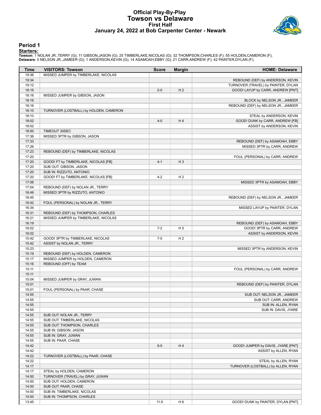### **Official Play-By-Play Towson vs Delaware First Half January 24, 2022 at Bob Carpenter Center - Newark**



#### **Period 1**

<mark>Startersː</mark><br>Towson: 1 NOLAN JR.,TERRY (G); 11 GIBSON,JASON (G); 25 TIMBERLAKE,NICOLAS (G); 32 THOMPSON,CHARLES (F); 55 HOLDEN,CAMERON (F);<br>**Delaware**: 0 NELSON JR.,JAMEER (G); 1 ANDERSON,KEVIN (G); 14 ASAMOAH,EBBY (G); 21

| Time           | <b>VISITORS: Towson</b>                    | <b>Score</b> | <b>Margin</b>  | <b>HOME: Delaware</b>               |
|----------------|--------------------------------------------|--------------|----------------|-------------------------------------|
| 19:36          | MISSED JUMPER by TIMBERLAKE, NICOLAS       |              |                |                                     |
| 19:34          |                                            |              |                | REBOUND (DEF) by ANDERSON, KEVIN    |
| 19:12          |                                            |              |                | TURNOVER (TRAVEL) by PAINTER, DYLAN |
| 18:16          |                                            | $2 - 0$      | H <sub>2</sub> | GOOD! LAYUP by CARR, ANDREW [PNT]   |
| 18:16          | MISSED JUMPER by GIBSON, JASON             |              |                |                                     |
| 18:16          |                                            |              |                | BLOCK by NELSON JR., JAMEER         |
| 18:16          |                                            |              |                | REBOUND (DEF) by NELSON JR., JAMEER |
| 18:10          | TURNOVER (LOSTBALL) by HOLDEN, CAMERON     |              |                |                                     |
| 18:10          |                                            |              |                | STEAL by ANDERSON, KEVIN            |
| 18:02          |                                            | $4-0$        | H4             | GOOD! DUNK by CARR, ANDREW [FB]     |
| 18:02          |                                            |              |                | ASSIST by ANDERSON, KEVIN           |
| 18:00          | <b>TIMEOUT 30SEC</b>                       |              |                |                                     |
| 17:36          | MISSED 3PTR by GIBSON, JASON               |              |                |                                     |
| 17:33          |                                            |              |                | REBOUND (DEF) by ASAMOAH, EBBY      |
| 17:26<br>17:23 |                                            |              |                | MISSED 3PTR by CARR, ANDREW         |
| 17:20          | REBOUND (DEF) by TIMBERLAKE, NICOLAS       |              |                |                                     |
| 17:20          | GOOD! FT by TIMBERLAKE, NICOLAS [FB]       | $4 - 1$      | $H_3$          | FOUL (PERSONAL) by CARR, ANDREW     |
| 17:20          | SUB OUT: GIBSON, JASON                     |              |                |                                     |
| 17:20          | SUB IN: RIZZUTO, ANTONIO                   |              |                |                                     |
| 17:20          | GOOD! FT by TIMBERLAKE, NICOLAS [FB]       | $4 - 2$      | H <sub>2</sub> |                                     |
| 17:06          |                                            |              |                | MISSED 3PTR by ASAMOAH, EBBY        |
| 17:04          | REBOUND (DEF) by NOLAN JR., TERRY          |              |                |                                     |
| 16:49          | MISSED 3PTR by RIZZUTO, ANTONIO            |              |                |                                     |
| 16:45          |                                            |              |                | REBOUND (DEF) by NELSON JR., JAMEER |
| 16:42          | FOUL (PERSONAL) by NOLAN JR., TERRY        |              |                |                                     |
| 16:34          |                                            |              |                | MISSED LAYUP by PAINTER, DYLAN      |
| 16:31          | REBOUND (DEF) by THOMPSON, CHARLES         |              |                |                                     |
| 16:21          | MISSED JUMPER by TIMBERLAKE, NICOLAS       |              |                |                                     |
| 16:19          |                                            |              |                | REBOUND (DEF) by ASAMOAH, EBBY      |
| 16:02          |                                            | $7 - 2$      | H <sub>5</sub> | GOOD! 3PTR by CARR, ANDREW          |
| 16:02          |                                            |              |                | ASSIST by ANDERSON, KEVIN           |
| 15:42          | GOOD! 3PTR by TIMBERLAKE, NICOLAS          | $7 - 5$      | H <sub>2</sub> |                                     |
| 15:42          | ASSIST by NOLAN JR., TERRY                 |              |                |                                     |
| 15:23          |                                            |              |                | MISSED 3PTR by ANDERSON, KEVIN      |
| 15:19          | REBOUND (DEF) by HOLDEN, CAMERON           |              |                |                                     |
| 15:17          | MISSED JUMPER by HOLDEN, CAMERON           |              |                |                                     |
| 15:16          | REBOUND (OFF) by TEAM                      |              |                |                                     |
| 15:11          |                                            |              |                | FOUL (PERSONAL) by CARR, ANDREW     |
| 15:11          |                                            |              |                |                                     |
| 15:04          | MISSED JUMPER by GRAY, JUWAN               |              |                |                                     |
| 15:01          |                                            |              |                | REBOUND (DEF) by PAINTER, DYLAN     |
| 15:01          | FOUL (PERSONAL) by PAAR, CHASE             |              |                |                                     |
| 14:55          |                                            |              |                | SUB OUT: NELSON JR., JAMEER         |
| 14:55          |                                            |              |                | SUB OUT: CARR, ANDREW               |
| 14:55          |                                            |              |                | SUB IN: ALLEN, RYAN                 |
| 14:55          |                                            |              |                | SUB IN: DAVIS, JYARE                |
| 14:55          | SUB OUT: NOLAN JR., TERRY                  |              |                |                                     |
| 14:55          | SUB OUT: TIMBERLAKE, NICOLAS               |              |                |                                     |
| 14:55          | SUB OUT: THOMPSON, CHARLES                 |              |                |                                     |
| 14:55          | SUB IN: GIBSON, JASON                      |              |                |                                     |
| 14:55<br>14:55 | SUB IN: GRAY, JUWAN<br>SUB IN: PAAR, CHASE |              |                |                                     |
| 14:42          |                                            | $9-5$        | H4             | GOOD! JUMPER by DAVIS, JYARE [PNT]  |
| 14:42          |                                            |              |                | ASSIST by ALLEN, RYAN               |
| 14:22          | TURNOVER (LOSTBALL) by PAAR, CHASE         |              |                |                                     |
| 14:22          |                                            |              |                | STEAL by ALLEN, RYAN                |
| 14:17          |                                            |              |                | TURNOVER (LOSTBALL) by ALLEN, RYAN  |
| 14:17          | STEAL by HOLDEN, CAMERON                   |              |                |                                     |
| 14:00          | TURNOVER (TRAVEL) by GRAY, JUWAN           |              |                |                                     |
| 14:00          | SUB OUT: HOLDEN, CAMERON                   |              |                |                                     |
| 14:00          | SUB OUT: PAAR, CHASE                       |              |                |                                     |
| 14:00          | SUB IN: TIMBERLAKE, NICOLAS                |              |                |                                     |
| 14:00          | SUB IN: THOMPSON, CHARLES                  |              |                |                                     |
| 13:45          |                                            | $11 - 5$     | H <sub>6</sub> | GOOD! DUNK by PAINTER, DYLAN [PNT]  |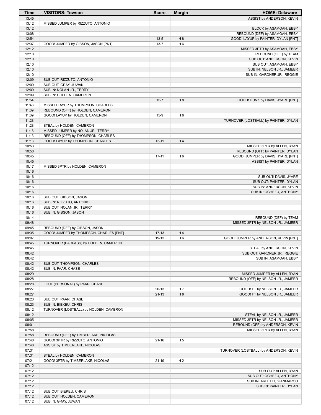| <b>Time</b>    | <b>VISITORS: Towson</b>                                       | <b>Score</b> | <b>Margin</b>  | <b>HOME: Delaware</b>                  |
|----------------|---------------------------------------------------------------|--------------|----------------|----------------------------------------|
| 13:45          |                                                               |              |                | ASSIST by ANDERSON, KEVIN              |
| 13:12          | MISSED JUMPER by RIZZUTO, ANTONIO                             |              |                |                                        |
| 13:12          |                                                               |              |                | BLOCK by ASAMOAH, EBBY                 |
| 13:08          |                                                               |              |                | REBOUND (DEF) by ASAMOAH, EBBY         |
| 12:54          |                                                               | $13 - 5$     | H 8            | GOOD! LAYUP by PAINTER, DYLAN [PNT]    |
| 12:37          | GOOD! JUMPER by GIBSON, JASON [PNT]                           | $13 - 7$     | H <sub>6</sub> |                                        |
| 12:12          |                                                               |              |                | MISSED 3PTR by ASAMOAH, EBBY           |
| 12:10          |                                                               |              |                | REBOUND (OFF) by TEAM                  |
| 12:10          |                                                               |              |                | SUB OUT: ANDERSON, KEVIN               |
| 12:10          |                                                               |              |                | SUB OUT: ASAMOAH, EBBY                 |
| 12:10<br>12:10 |                                                               |              |                | SUB IN: NELSON JR., JAMEER             |
| 12:09          | SUB OUT: RIZZUTO, ANTONIO                                     |              |                | SUB IN: GARDNER JR., REGGIE            |
| 12:09          | SUB OUT: GRAY, JUWAN                                          |              |                |                                        |
| 12:09          | SUB IN: NOLAN JR., TERRY                                      |              |                |                                        |
| 12:09          | SUB IN: HOLDEN, CAMERON                                       |              |                |                                        |
| 11:54          |                                                               | $15 - 7$     | H 8            | GOOD! DUNK by DAVIS, JYARE [PNT]       |
| 11:43          | MISSED LAYUP by THOMPSON, CHARLES                             |              |                |                                        |
| 11:39          | REBOUND (OFF) by HOLDEN, CAMERON                              |              |                |                                        |
| 11:39          | GOOD! LAYUP by HOLDEN, CAMERON                                | $15-9$       | H <sub>6</sub> |                                        |
| 11:28          |                                                               |              |                | TURNOVER (LOSTBALL) by PAINTER, DYLAN  |
| 11:28          | STEAL by HOLDEN, CAMERON                                      |              |                |                                        |
| 11:18          | MISSED JUMPER by NOLAN JR., TERRY                             |              |                |                                        |
| 11:13          | REBOUND (OFF) by THOMPSON, CHARLES                            |              |                |                                        |
| 11:13          | GOOD! LAYUP by THOMPSON, CHARLES                              | $15 - 11$    | H4             |                                        |
| 10:53          |                                                               |              |                | MISSED 3PTR by ALLEN, RYAN             |
| 10:50          |                                                               |              |                | REBOUND (OFF) by PAINTER, DYLAN        |
| 10:45          |                                                               | $17 - 11$    | H <sub>6</sub> | GOOD! JUMPER by DAVIS, JYARE [PNT]     |
| 10:45<br>10:17 | MISSED 3PTR by HOLDEN, CAMERON                                |              |                | ASSIST by PAINTER, DYLAN               |
| 10:16          |                                                               |              |                |                                        |
| 10:16          |                                                               |              |                | SUB OUT: DAVIS, JYARE                  |
| 10:16          |                                                               |              |                | SUB OUT: PAINTER, DYLAN                |
| 10:16          |                                                               |              |                | SUB IN: ANDERSON, KEVIN                |
| 10:16          |                                                               |              |                | SUB IN: OCHEFU, ANTHONY                |
| 10:16          | SUB OUT: GIBSON, JASON                                        |              |                |                                        |
| 10:16          | SUB IN: RIZZUTO, ANTONIO                                      |              |                |                                        |
| 10:16          | SUB OUT: NOLAN JR., TERRY                                     |              |                |                                        |
| 10:16          | SUB IN: GIBSON, JASON                                         |              |                |                                        |
| 10:14          |                                                               |              |                | REBOUND (DEF) by TEAM                  |
| 09:48          |                                                               |              |                | MISSED 3PTR by NELSON JR., JAMEER      |
| 09:45          | REBOUND (DEF) by GIBSON, JASON                                |              |                |                                        |
| 09:35          | GOOD! JUMPER by THOMPSON, CHARLES [PNT]                       | $17 - 13$    | H4             |                                        |
| 09:07          |                                                               | 19-13        | H <sub>6</sub> | GOOD! JUMPER by ANDERSON, KEVIN [PNT]  |
| 08:45          | TURNOVER (BADPASS) by HOLDEN, CAMERON                         |              |                |                                        |
| 08:45          |                                                               |              |                | STEAL by ANDERSON, KEVIN               |
| 08:42<br>08:42 |                                                               |              |                | SUB OUT: GARDNER JR., REGGIE           |
| 08:42          | SUB OUT: THOMPSON, CHARLES                                    |              |                | SUB IN: ASAMOAH, EBBY                  |
| 08:42          | SUB IN: PAAR, CHASE                                           |              |                |                                        |
| 08:29          |                                                               |              |                | MISSED JUMPER by ALLEN, RYAN           |
| 08:28          |                                                               |              |                | REBOUND (OFF) by NELSON JR., JAMEER    |
| 08:28          | FOUL (PERSONAL) by PAAR, CHASE                                |              |                |                                        |
| 08:27          |                                                               | $20-13$      | H 7            | GOOD! FT by NELSON JR., JAMEER         |
| 08:27          |                                                               | $21 - 13$    | H 8            | GOOD! FT by NELSON JR., JAMEER         |
| 08:23          | SUB OUT: PAAR, CHASE                                          |              |                |                                        |
| 08:23          | SUB IN: BIEKEU, CHRIS                                         |              |                |                                        |
| 08:12          | TURNOVER (LOSTBALL) by HOLDEN, CAMERON                        |              |                |                                        |
| 08:12          |                                                               |              |                | STEAL by NELSON JR., JAMEER            |
| 08:05          |                                                               |              |                | MISSED 3PTR by NELSON JR., JAMEER      |
| 08:01          |                                                               |              |                | REBOUND (OFF) by ANDERSON, KEVIN       |
| 07:58          |                                                               |              |                | MISSED 3PTR by ALLEN, RYAN             |
| 07:58          | REBOUND (DEF) by TIMBERLAKE, NICOLAS                          |              |                |                                        |
| 07:48          | GOOD! 3PTR by RIZZUTO, ANTONIO                                | $21 - 16$    | H <sub>5</sub> |                                        |
| 07:48          | ASSIST by TIMBERLAKE, NICOLAS                                 |              |                |                                        |
| 07:31          |                                                               |              |                | TURNOVER (LOSTBALL) by ANDERSON, KEVIN |
| 07:31<br>07:21 | STEAL by HOLDEN, CAMERON<br>GOOD! 3PTR by TIMBERLAKE, NICOLAS | $21-19$      | H <sub>2</sub> |                                        |
|                |                                                               |              |                |                                        |
| 07:12<br>07:12 |                                                               |              |                | SUB OUT: ALLEN, RYAN                   |
| 07:12          |                                                               |              |                | SUB OUT: OCHEFU, ANTHONY               |
| 07:12          |                                                               |              |                | SUB IN: ARLETTI, GIANMARCO             |
| 07:12          |                                                               |              |                | SUB IN: PAINTER, DYLAN                 |
| 07:12          | SUB OUT: BIEKEU, CHRIS                                        |              |                |                                        |
| 07:12          | SUB OUT: HOLDEN, CAMERON                                      |              |                |                                        |
| 07:12          | SUB IN: GRAY, JUWAN                                           |              |                |                                        |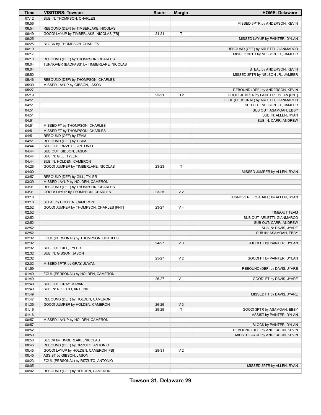| Time           | <b>VISITORS: Towson</b>                                             | <b>Score</b> | <b>Margin</b>  | <b>HOME: Delaware</b>                 |
|----------------|---------------------------------------------------------------------|--------------|----------------|---------------------------------------|
| 07:12          | SUB IN: THOMPSON, CHARLES                                           |              |                |                                       |
| 06:56          |                                                                     |              |                | MISSED 3PTR by ANDERSON, KEVIN        |
| 06:54          | REBOUND (DEF) by TIMBERLAKE, NICOLAS                                |              |                |                                       |
| 06:49          | GOOD! LAYUP by TIMBERLAKE, NICOLAS [FB]                             | $21 - 21$    | T              |                                       |
| 06:25          |                                                                     |              |                | MISSED LAYUP by PAINTER, DYLAN        |
| 06:25          | BLOCK by THOMPSON, CHARLES                                          |              |                |                                       |
| 06:19          |                                                                     |              |                | REBOUND (OFF) by ARLETTI, GIANMARCO   |
| 06:17          |                                                                     |              |                | MISSED 3PTR by NELSON JR., JAMEER     |
| 06:13          | REBOUND (DEF) by THOMPSON, CHARLES                                  |              |                |                                       |
| 06:04          | TURNOVER (BADPASS) by TIMBERLAKE, NICOLAS                           |              |                |                                       |
| 06:04<br>05:50 |                                                                     |              |                | STEAL by ANDERSON, KEVIN              |
| 05:46          |                                                                     |              |                | MISSED 3PTR by NELSON JR., JAMEER     |
| 05:30          | REBOUND (DEF) by THOMPSON, CHARLES<br>MISSED LAYUP by GIBSON, JASON |              |                |                                       |
| 05:27          |                                                                     |              |                | REBOUND (DEF) by ANDERSON, KEVIN      |
| 05:19          |                                                                     | 23-21        | H <sub>2</sub> | GOOD! JUMPER by PAINTER, DYLAN [PNT]  |
| 04:51          |                                                                     |              |                | FOUL (PERSONAL) by ARLETTI, GIANMARCO |
| 04:51          |                                                                     |              |                | SUB OUT: NELSON JR., JAMEER           |
| 04:51          |                                                                     |              |                | SUB OUT: ASAMOAH, EBBY                |
| 04:51          |                                                                     |              |                | SUB IN: ALLEN, RYAN                   |
| 04:51          |                                                                     |              |                | SUB IN: CARR, ANDREW                  |
| 04:51          | MISSED FT by THOMPSON, CHARLES                                      |              |                |                                       |
| 04:51          | MISSED FT by THOMPSON, CHARLES                                      |              |                |                                       |
| 04:51          | REBOUND (OFF) by TEAM                                               |              |                |                                       |
| 04:51          | REBOUND (OFF) by TEAM                                               |              |                |                                       |
| 04:44          | SUB OUT: RIZZUTO, ANTONIO                                           |              |                |                                       |
| 04:44          | SUB OUT: GIBSON, JASON                                              |              |                |                                       |
| 04:44          | SUB IN: GILL, TYLER                                                 |              |                |                                       |
| 04:44          | SUB IN: HOLDEN, CAMERON                                             |              |                |                                       |
| 04:26          | GOOD! JUMPER by TIMBERLAKE, NICOLAS                                 | 23-23        | T              |                                       |
| 04:00          |                                                                     |              |                | MISSED JUMPER by ALLEN, RYAN          |
| 03:57          | REBOUND (DEF) by GILL, TYLER                                        |              |                |                                       |
| 03:39          | MISSED LAYUP by HOLDEN, CAMERON                                     |              |                |                                       |
| 03:31          | REBOUND (OFF) by THOMPSON, CHARLES                                  |              |                |                                       |
| 03:31<br>03:10 | GOOD! LAYUP by THOMPSON, CHARLES                                    | 23-25        | V <sub>2</sub> |                                       |
| 03:10          | STEAL by HOLDEN, CAMERON                                            |              |                | TURNOVER (LOSTBALL) by ALLEN, RYAN    |
| 02:52          | GOOD! JUMPER by THOMPSON, CHARLES [PNT]                             | 23-27        | V <sub>4</sub> |                                       |
| 02:52          |                                                                     |              |                | <b>TIMEOUT TEAM</b>                   |
| 02:52          |                                                                     |              |                | SUB OUT: ARLETTI, GIANMARCO           |
| 02:52          |                                                                     |              |                | SUB OUT: CARR, ANDREW                 |
| 02:52          |                                                                     |              |                | SUB IN: DAVIS, JYARE                  |
| 02:52          |                                                                     |              |                | SUB IN: ASAMOAH, EBBY                 |
| 02:32          | FOUL (PERSONAL) by THOMPSON, CHARLES                                |              |                |                                       |
| 02:32          |                                                                     | 24-27        | $V_3$          | GOOD! FT by PAINTER, DYLAN            |
| 02:32          | SUB OUT: GILL, TYLER                                                |              |                |                                       |
| 02:32          | SUB IN: GIBSON, JASON                                               |              |                |                                       |
| 02:32          |                                                                     | 25-27        | V <sub>2</sub> | GOOD! FT by PAINTER, DYLAN            |
| 02:02          | MISSED 3PTR by GRAY, JUWAN                                          |              |                |                                       |
| 01:59          |                                                                     |              |                | REBOUND (DEF) by DAVIS, JYARE         |
| 01:49          | FOUL (PERSONAL) by HOLDEN, CAMERON                                  |              |                |                                       |
| 01:49          |                                                                     | 26-27        | V <sub>1</sub> | GOOD! FT by DAVIS, JYARE              |
| 01:49          | SUB OUT: GRAY, JUWAN                                                |              |                |                                       |
| 01:49          | SUB IN: RIZZUTO, ANTONIO                                            |              |                |                                       |
| 01:49          |                                                                     |              |                | MISSED FT by DAVIS, JYARE             |
| 01:47          | REBOUND (DEF) by HOLDEN, CAMERON                                    |              |                |                                       |
| 01:35          | GOOD! JUMPER by HOLDEN, CAMERON                                     | 26-29        | $V_3$          |                                       |
| 01:16          |                                                                     | 29-29        | т              | GOOD! 3PTR by ASAMOAH, EBBY           |
| 01:16          |                                                                     |              |                | ASSIST by PAINTER, DYLAN              |
| 00:57          | MISSED LAYUP by HOLDEN, CAMERON                                     |              |                |                                       |
| 00:57          |                                                                     |              |                | BLOCK by PAINTER, DYLAN               |
| 00:52          |                                                                     |              |                | REBOUND (DEF) by ANDERSON, KEVIN      |
| 00:50          |                                                                     |              |                | MISSED LAYUP by ANDERSON, KEVIN       |
| 00:50          | BLOCK by TIMBERLAKE, NICOLAS<br>REBOUND (DEF) by RIZZUTO, ANTONIO   |              |                |                                       |
| 00:46<br>00:45 | GOOD! LAYUP by HOLDEN, CAMERON [FB]                                 | 29-31        | V <sub>2</sub> |                                       |
| 00:45          | ASSIST by GIBSON, JASON                                             |              |                |                                       |
| 00:23          | FOUL (PERSONAL) by RIZZUTO, ANTONIO                                 |              |                |                                       |
| 00:05          |                                                                     |              |                | MISSED 3PTR by ALLEN, RYAN            |
| 00:02          | REBOUND (DEF) by HOLDEN, CAMERON                                    |              |                |                                       |
|                |                                                                     |              |                |                                       |

**Towson 31, Delaware 29**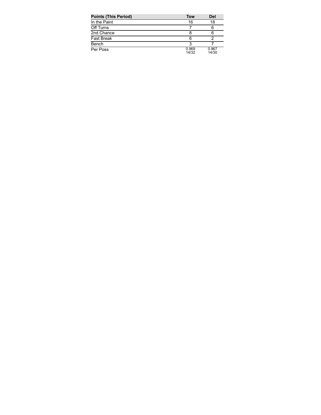| <b>Points (This Period)</b> | <b>Tow</b>     | Del            |
|-----------------------------|----------------|----------------|
| In the Paint                | 16             | 18             |
| Off Turns                   |                | 6              |
| 2nd Chance                  |                |                |
| Fast Break                  |                |                |
| Bench                       |                |                |
| Per Poss                    | 0.969<br>14/32 | 0.967<br>14/30 |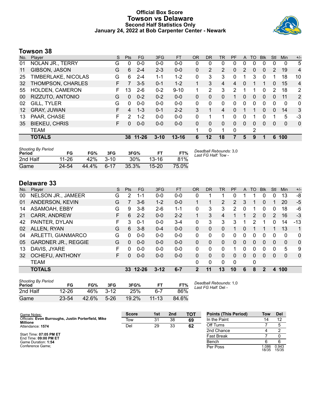### **Official Box Score Towson vs Delaware Second Half Statistics Only January 24, 2022 at Bob Carpenter Center - Newark**



# **Towson 38**

| No. | Plaver               | S  | <b>Pts</b>    | FG       | 3FG      | <b>FT</b> | <b>OR</b> | <b>DR</b> | TR             | <b>PF</b> | A        | TO. | <b>Blk</b>   | Stl           | Min | $+/-$          |
|-----|----------------------|----|---------------|----------|----------|-----------|-----------|-----------|----------------|-----------|----------|-----|--------------|---------------|-----|----------------|
| 01  | NOLAN JR., TERRY     | G  | 0             | $0-0$    | $0 - 0$  | $0-0$     | 0         | 0         | 0              | 0         | 0        | 0   | 0            | 0             | 0   | 5              |
| 11  | GIBSON, JASON        | G  | 6             | $2 - 4$  | $2 - 3$  | $0 - 0$   | 0         | 2         | $\overline{2}$ | $\Omega$  | 2        | 0   | 0            | $\mathcal{P}$ | 19  | 4              |
| 25  | TIMBERLAKE, NICOLAS  | G  | 6             | $2 - 4$  | $1 - 1$  | $1 - 2$   | 0         | 3         | 3              | 0         | 1        | 3   | $\mathbf{0}$ |               | 18  | 10             |
| 32  | THOMPSON, CHARLES    | F. | 7             | $3 - 5$  | $0 - 1$  | $1 - 2$   |           | 3         | 4              | 4         | $\Omega$ | 1   |              | $\Omega$      | 15  | 4              |
| 55  | HOLDEN, CAMERON      | F  | 13            | $2-6$    | $0 - 2$  | $9 - 10$  |           | 2         | 3              | 2         |          |     | 0            | 2             | 18  | $\overline{2}$ |
| 00  | RIZZUTO, ANTONIO     | G  | $\Omega$      | $0 - 2$  | $0 - 2$  | $0 - 0$   | 0         | 0         | 0              |           | 0        | 0   | $\mathbf{0}$ | 0             | 11  | 2              |
| 02  | GILL, TYLER          | G  | 0             | $0 - 0$  | $0 - 0$  | $0 - 0$   | 0         | 0         | 0              | 0         | 0        | 0   | 0            | 0             | 0   | $\mathbf{0}$   |
| 12  | <b>GRAY, JUWAN</b>   | F  | 4             | $1 - 3$  | $0 - 1$  | $2 - 2$   | 3         | 1         | 4              | $\Omega$  | 1        | 1   | $\Omega$     | $\Omega$      | 14  | 3              |
| 13  | PAAR, CHASE          | F  | $\mathcal{P}$ | $1 - 2$  | $0 - 0$  | $0 - 0$   | 0         | 1         |                | 0         | 0        |     | $\Omega$     |               | 5   | -3             |
| 35  | <b>BIEKEU, CHRIS</b> | F. | $\Omega$      | $0 - 0$  | $0 - 0$  | $0 - 0$   | 0         | 0         | 0              | $\Omega$  | $\Omega$ | 0   | $\Omega$     | $\Omega$      | 0   | $\mathbf{0}$   |
|     | <b>TEAM</b>          |    |               |          |          |           |           | 0         | 1              | 0         |          | 2   |              |               |     |                |
|     | <b>TOTALS</b>        |    |               | 38 11-26 | $3 - 10$ | $13 - 16$ | 6         | 12        | 18             |           | 5        | 9   |              | 6             | 100 |                |
|     |                      |    |               |          |          |           |           |           |                |           |          |     |              |               |     |                |

| <b>Shooting By Period</b><br>Period | FG        | FG%   | 3FG    | 3FG%  | FT.       | FT%         | Deadball Rebounds: 3,0<br>Last FG Half: Tow - |
|-------------------------------------|-----------|-------|--------|-------|-----------|-------------|-----------------------------------------------|
| 2nd Half                            | $11 - 26$ | 42%   | $3-10$ | 30%   | $13-16$   | 81%         |                                               |
| Game                                | 24-54     | 44.4% | $6-17$ | 35.3% | $15 - 20$ | <b>750%</b> |                                               |

# **Delaware 33**

| No. | Plaver                     | S  | <b>Pts</b> | FG        | 3FG      | <b>FT</b> | <b>OR</b>      | <b>DR</b> | TR             | PF       | A        | TO | <b>B</b> lk  | Stl      | Min          | $+/-$        |
|-----|----------------------------|----|------------|-----------|----------|-----------|----------------|-----------|----------------|----------|----------|----|--------------|----------|--------------|--------------|
| 00  | NELSON JR., JAMEER         | G  | 2          | 1-1       | $0-0$    | $0-0$     | 0              |           |                | 0        |          |    | 0            | 0        | 13           | -8           |
| 01  | ANDERSON, KEVIN            | G  |            | $3-6$     | $1 - 2$  | $0 - 0$   | 1.             |           | $\overline{2}$ | 2        | 3        |    | 0            |          | 20           | $-5$         |
| 14  | ASAMOAH, EBBY              | G  | 9          | $3 - 8$   | $2-6$    | $1 - 1$   | 0              | 3         | 3              | 2        | $\Omega$ |    | 0            | 0        | 18           | -6           |
| 21  | CARR, ANDREW               | F  | 6          | $2 - 2$   | $0 - 0$  | $2 - 2$   | 1.             | 3         | 4              |          | 1        | 2  | $\mathbf{0}$ | 2        | 16           | $-3$         |
| 42  | PAINTER, DYLAN             | F. | 3          | $0 - 1$   | $0 - 0$  | $3 - 4$   | 0              | 3         | 3              | 3        | 1        | 2  |              | 0        | 14           | $-13$        |
| 02  | ALLEN, RYAN                | G  | 6          | $3 - 8$   | $0 - 4$  | $0 - 0$   | 0              | $\Omega$  | $\Omega$       |          | 0        |    |              |          | 13           | 1            |
| 04  | ARLETTI, GIANMARCO         | G  | $\Omega$   | $0 - 0$   | $0 - 0$  | $0 - 0$   | 0              | 0         | $\Omega$       | $\Omega$ | 0        | 0  | $\Omega$     | 0        | 0            | $\mathbf{0}$ |
| 05  | <b>GARDNER JR., REGGIE</b> | G  | 0          | $0 - 0$   | $0 - 0$  | $0 - 0$   | 0              | 0         | $\Omega$       | $\Omega$ | 0        | 0  | $\Omega$     | 0        | $\mathbf{0}$ | $\mathbf{0}$ |
| 13  | DAVIS, JYARE               | F  | 0          | $0 - 0$   | $0 - 0$  | $0 - 0$   | 0              | 0         | 0              |          | 0        | 0  | 0            | 0        | 5            | 9            |
| 32  | OCHEFU, ANTHONY            | F  | 0          | $0 - 0$   | $0 - 0$  | $0 - 0$   | 0              | 0         | 0              | 0        | $\Omega$ | 0  | $\Omega$     | $\Omega$ | $\Omega$     | $\mathbf{0}$ |
|     | <b>TEAM</b>                |    |            |           |          |           | $\Omega$       | 0         | $\Omega$       | $\Omega$ |          | 0  |              |          |              |              |
|     | <b>TOTALS</b>              |    | 33         | $12 - 26$ | $3 - 12$ | $6 - 7$   | $\overline{2}$ | 11        | 13             | 10       | 6        | 8  | 2            | 4        | 100          |              |

| <b>Shooting By Period</b><br>Period | FG        | FG%   | 3FG      | 3FG%  | FТ        | FT%   |
|-------------------------------------|-----------|-------|----------|-------|-----------|-------|
| 2nd Half                            | $12 - 26$ | 46%   | $3-12$   | 25%   | հ-7       | 86%   |
| Game                                | $23 - 54$ | 42.6% | $5 - 26$ | 19.2% | $11 - 13$ | 84.6% |

*Deadball Rebounds:* 1,0 *Last FG Half:* Del -

| Game Notes:                                                     | <b>Score</b> | 1st | 2 <sub>nd</sub> | тот | <b>Points (This Period)</b> | Tow           | <b>Del</b>     |
|-----------------------------------------------------------------|--------------|-----|-----------------|-----|-----------------------------|---------------|----------------|
| Officials: Evon Burroughs, Justin Porterfield, Mike<br>Millione | Tow          | 31  | 38              | 69  | In the Paint                |               | 12             |
| Attendance: 1574                                                | Del          | 29  | 33              | 62  | Off Turns                   |               |                |
|                                                                 |              |     |                 |     | 2nd Chance                  |               |                |
| Start Time: 07:05 PM ET<br>End Time: 09:00 PM ET                |              |     |                 |     | <b>Fast Break</b>           |               |                |
| Game Duration: 1:54                                             |              |     |                 |     | Bench                       |               |                |
| Conference Game:                                                |              |     |                 |     | Per Poss                    | .086<br>18/35 | 0.943<br>15/35 |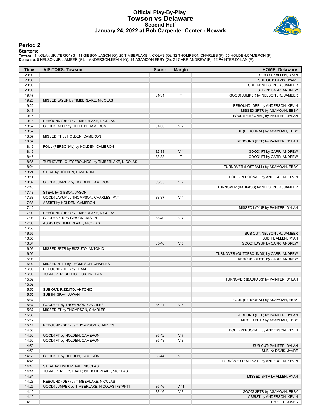### **Official Play-By-Play Towson vs Delaware Second Half January 24, 2022 at Bob Carpenter Center - Newark**



#### **Period 2**

#### **Starters:**

Towson: 1 NOLAN JR.,TERRY (G); 11 GIBSON,JASON (G); 25 TIMBERLAKE,NICOLAS (G); 32 THOMPSON,CHARLES (F); 55 HOLDEN,CAMERON (F);<br>**Delaware**: 0 NELSON JR.,JAMEER (G); 1 ANDERSON,KEVIN (G); 14 ASAMOAH,EBBY (G); 21 CARR,ANDREW

| SUB OUT: ALLEN, RYAN<br>20:00<br>20:00<br>SUB OUT: DAVIS, JYARE<br>20:00<br>SUB IN: NELSON JR., JAMEER<br>20:00<br>SUB IN: CARR, ANDREW<br>19:47<br>T<br>31-31<br>GOOD! JUMPER by NELSON JR., JAMEER<br>19:25<br>MISSED LAYUP by TIMBERLAKE, NICOLAS<br>19:22<br>REBOUND (DEF) by ANDERSON, KEVIN<br>19:17<br>MISSED 3PTR by ASAMOAH, EBBY<br>19:15<br>FOUL (PERSONAL) by PAINTER, DYLAN<br>19:14<br>REBOUND (DEF) by TIMBERLAKE, NICOLAS<br>V <sub>2</sub><br>18:57<br>GOOD! LAYUP by HOLDEN, CAMERON<br>31-33<br>18:57<br>FOUL (PERSONAL) by ASAMOAH, EBBY<br>18:57<br>MISSED FT by HOLDEN, CAMERON<br>18:57<br>REBOUND (DEF) by PAINTER, DYLAN<br>18:45<br>FOUL (PERSONAL) by HOLDEN, CAMERON<br>18:45<br>V <sub>1</sub><br>32-33<br>GOOD! FT by CARR, ANDREW<br>T<br>18:45<br>GOOD! FT by CARR, ANDREW<br>33-33<br>18:35<br>TURNOVER (OUTOFBOUNDS) by TIMBERLAKE, NICOLAS<br>18:24<br>TURNOVER (LOSTBALL) by ASAMOAH, EBBY<br>18:24<br>STEAL by HOLDEN, CAMERON<br>18:14<br>FOUL (PERSONAL) by ANDERSON, KEVIN<br>V <sub>2</sub><br>18:02<br>GOOD! JUMPER by HOLDEN, CAMERON<br>33-35<br>17:48<br>TURNOVER (BADPASS) by NELSON JR., JAMEER<br>17:48<br>STEAL by GIBSON, JASON<br>GOOD! LAYUP by THOMPSON, CHARLES [PNT]<br>17:38<br>V <sub>4</sub><br>33-37<br>17:38<br>ASSIST by HOLDEN, CAMERON<br>17:12<br>MISSED LAYUP by PAINTER, DYLAN<br>REBOUND (DEF) by TIMBERLAKE, NICOLAS<br>17:09<br>17:03<br>GOOD! 3PTR by GIBSON, JASON<br>V <sub>7</sub><br>33-40<br>17:03<br>ASSIST by TIMBERLAKE, NICOLAS<br>16:55<br>16:55<br>SUB OUT: NELSON JR., JAMEER<br>16:55<br>SUB IN: ALLEN, RYAN<br>V <sub>5</sub><br>16:34<br>35-40<br>GOOD! LAYUP by CARR, ANDREW<br>16:06<br>MISSED 3PTR by RIZZUTO, ANTONIO<br>16:05<br>TURNOVER (OUTOFBOUNDS) by CARR, ANDREW<br>16:03<br>REBOUND (DEF) by CARR, ANDREW<br>16:02<br>MISSED 3PTR by THOMPSON, CHARLES<br>16:00<br>REBOUND (OFF) by TEAM<br>16:00<br>TURNOVER (SHOTCLOCK) by TEAM<br>15:52<br>TURNOVER (BADPASS) by PAINTER, DYLAN<br>15:52<br>15:52<br>SUB OUT: RIZZUTO, ANTONIO<br>15:52<br>SUB IN: GRAY, JUWAN<br>15:37<br>FOUL (PERSONAL) by ASAMOAH, EBBY<br>GOOD! FT by THOMPSON, CHARLES<br>$V_6$<br>15:37<br>$35 - 41$<br>15:37<br>MISSED FT by THOMPSON, CHARLES<br>15:36<br>REBOUND (DEF) by PAINTER, DYLAN<br>15:17<br>MISSED 3PTR by ASAMOAH, EBBY<br>15:14<br>REBOUND (DEF) by THOMPSON, CHARLES<br>14:50<br>FOUL (PERSONAL) by ANDERSON, KEVIN<br>V <sub>7</sub><br>14:50<br>GOOD! FT by HOLDEN, CAMERON<br>$35 - 42$<br>V8<br>14:50<br>GOOD! FT by HOLDEN, CAMERON<br>35-43<br>14:50<br>SUB OUT: PAINTER, DYLAN<br>14:50<br>SUB IN: DAVIS, JYARE<br>V <sub>9</sub><br>14:50<br>GOOD! FT by HOLDEN, CAMERON<br>35-44<br>14:46<br>TURNOVER (BADPASS) by ANDERSON, KEVIN<br>14:46<br>STEAL by TIMBERLAKE, NICOLAS<br>14:44<br>TURNOVER (LOSTBALL) by TIMBERLAKE, NICOLAS<br>14:31<br>MISSED 3PTR by ALLEN, RYAN<br>14:28<br>REBOUND (DEF) by TIMBERLAKE, NICOLAS<br>14:25<br>GOOD! JUMPER by TIMBERLAKE, NICOLAS [FB/PNT]<br>$V$ 11<br>35-46<br>V8<br>14:10<br>GOOD! 3PTR by ASAMOAH, EBBY<br>38-46<br>14:10<br>ASSIST by ANDERSON, KEVIN | Time  | <b>VISITORS: Towson</b> | Score | <b>Margin</b> | <b>HOME: Delaware</b> |
|---------------------------------------------------------------------------------------------------------------------------------------------------------------------------------------------------------------------------------------------------------------------------------------------------------------------------------------------------------------------------------------------------------------------------------------------------------------------------------------------------------------------------------------------------------------------------------------------------------------------------------------------------------------------------------------------------------------------------------------------------------------------------------------------------------------------------------------------------------------------------------------------------------------------------------------------------------------------------------------------------------------------------------------------------------------------------------------------------------------------------------------------------------------------------------------------------------------------------------------------------------------------------------------------------------------------------------------------------------------------------------------------------------------------------------------------------------------------------------------------------------------------------------------------------------------------------------------------------------------------------------------------------------------------------------------------------------------------------------------------------------------------------------------------------------------------------------------------------------------------------------------------------------------------------------------------------------------------------------------------------------------------------------------------------------------------------------------------------------------------------------------------------------------------------------------------------------------------------------------------------------------------------------------------------------------------------------------------------------------------------------------------------------------------------------------------------------------------------------------------------------------------------------------------------------------------------------------------------------------------------------------------------------------------------------------------------------------------------------------------------------------------------------------------------------------------------------------------------------------------------------------------------------------------------------------------------------------------------------------------------------------------------------------------------------------------------------------------------------|-------|-------------------------|-------|---------------|-----------------------|
|                                                                                                                                                                                                                                                                                                                                                                                                                                                                                                                                                                                                                                                                                                                                                                                                                                                                                                                                                                                                                                                                                                                                                                                                                                                                                                                                                                                                                                                                                                                                                                                                                                                                                                                                                                                                                                                                                                                                                                                                                                                                                                                                                                                                                                                                                                                                                                                                                                                                                                                                                                                                                                                                                                                                                                                                                                                                                                                                                                                                                                                                                                         |       |                         |       |               |                       |
|                                                                                                                                                                                                                                                                                                                                                                                                                                                                                                                                                                                                                                                                                                                                                                                                                                                                                                                                                                                                                                                                                                                                                                                                                                                                                                                                                                                                                                                                                                                                                                                                                                                                                                                                                                                                                                                                                                                                                                                                                                                                                                                                                                                                                                                                                                                                                                                                                                                                                                                                                                                                                                                                                                                                                                                                                                                                                                                                                                                                                                                                                                         |       |                         |       |               |                       |
|                                                                                                                                                                                                                                                                                                                                                                                                                                                                                                                                                                                                                                                                                                                                                                                                                                                                                                                                                                                                                                                                                                                                                                                                                                                                                                                                                                                                                                                                                                                                                                                                                                                                                                                                                                                                                                                                                                                                                                                                                                                                                                                                                                                                                                                                                                                                                                                                                                                                                                                                                                                                                                                                                                                                                                                                                                                                                                                                                                                                                                                                                                         |       |                         |       |               |                       |
|                                                                                                                                                                                                                                                                                                                                                                                                                                                                                                                                                                                                                                                                                                                                                                                                                                                                                                                                                                                                                                                                                                                                                                                                                                                                                                                                                                                                                                                                                                                                                                                                                                                                                                                                                                                                                                                                                                                                                                                                                                                                                                                                                                                                                                                                                                                                                                                                                                                                                                                                                                                                                                                                                                                                                                                                                                                                                                                                                                                                                                                                                                         |       |                         |       |               |                       |
|                                                                                                                                                                                                                                                                                                                                                                                                                                                                                                                                                                                                                                                                                                                                                                                                                                                                                                                                                                                                                                                                                                                                                                                                                                                                                                                                                                                                                                                                                                                                                                                                                                                                                                                                                                                                                                                                                                                                                                                                                                                                                                                                                                                                                                                                                                                                                                                                                                                                                                                                                                                                                                                                                                                                                                                                                                                                                                                                                                                                                                                                                                         |       |                         |       |               |                       |
|                                                                                                                                                                                                                                                                                                                                                                                                                                                                                                                                                                                                                                                                                                                                                                                                                                                                                                                                                                                                                                                                                                                                                                                                                                                                                                                                                                                                                                                                                                                                                                                                                                                                                                                                                                                                                                                                                                                                                                                                                                                                                                                                                                                                                                                                                                                                                                                                                                                                                                                                                                                                                                                                                                                                                                                                                                                                                                                                                                                                                                                                                                         |       |                         |       |               |                       |
|                                                                                                                                                                                                                                                                                                                                                                                                                                                                                                                                                                                                                                                                                                                                                                                                                                                                                                                                                                                                                                                                                                                                                                                                                                                                                                                                                                                                                                                                                                                                                                                                                                                                                                                                                                                                                                                                                                                                                                                                                                                                                                                                                                                                                                                                                                                                                                                                                                                                                                                                                                                                                                                                                                                                                                                                                                                                                                                                                                                                                                                                                                         |       |                         |       |               |                       |
|                                                                                                                                                                                                                                                                                                                                                                                                                                                                                                                                                                                                                                                                                                                                                                                                                                                                                                                                                                                                                                                                                                                                                                                                                                                                                                                                                                                                                                                                                                                                                                                                                                                                                                                                                                                                                                                                                                                                                                                                                                                                                                                                                                                                                                                                                                                                                                                                                                                                                                                                                                                                                                                                                                                                                                                                                                                                                                                                                                                                                                                                                                         |       |                         |       |               |                       |
|                                                                                                                                                                                                                                                                                                                                                                                                                                                                                                                                                                                                                                                                                                                                                                                                                                                                                                                                                                                                                                                                                                                                                                                                                                                                                                                                                                                                                                                                                                                                                                                                                                                                                                                                                                                                                                                                                                                                                                                                                                                                                                                                                                                                                                                                                                                                                                                                                                                                                                                                                                                                                                                                                                                                                                                                                                                                                                                                                                                                                                                                                                         |       |                         |       |               |                       |
|                                                                                                                                                                                                                                                                                                                                                                                                                                                                                                                                                                                                                                                                                                                                                                                                                                                                                                                                                                                                                                                                                                                                                                                                                                                                                                                                                                                                                                                                                                                                                                                                                                                                                                                                                                                                                                                                                                                                                                                                                                                                                                                                                                                                                                                                                                                                                                                                                                                                                                                                                                                                                                                                                                                                                                                                                                                                                                                                                                                                                                                                                                         |       |                         |       |               |                       |
|                                                                                                                                                                                                                                                                                                                                                                                                                                                                                                                                                                                                                                                                                                                                                                                                                                                                                                                                                                                                                                                                                                                                                                                                                                                                                                                                                                                                                                                                                                                                                                                                                                                                                                                                                                                                                                                                                                                                                                                                                                                                                                                                                                                                                                                                                                                                                                                                                                                                                                                                                                                                                                                                                                                                                                                                                                                                                                                                                                                                                                                                                                         |       |                         |       |               |                       |
|                                                                                                                                                                                                                                                                                                                                                                                                                                                                                                                                                                                                                                                                                                                                                                                                                                                                                                                                                                                                                                                                                                                                                                                                                                                                                                                                                                                                                                                                                                                                                                                                                                                                                                                                                                                                                                                                                                                                                                                                                                                                                                                                                                                                                                                                                                                                                                                                                                                                                                                                                                                                                                                                                                                                                                                                                                                                                                                                                                                                                                                                                                         |       |                         |       |               |                       |
|                                                                                                                                                                                                                                                                                                                                                                                                                                                                                                                                                                                                                                                                                                                                                                                                                                                                                                                                                                                                                                                                                                                                                                                                                                                                                                                                                                                                                                                                                                                                                                                                                                                                                                                                                                                                                                                                                                                                                                                                                                                                                                                                                                                                                                                                                                                                                                                                                                                                                                                                                                                                                                                                                                                                                                                                                                                                                                                                                                                                                                                                                                         |       |                         |       |               |                       |
|                                                                                                                                                                                                                                                                                                                                                                                                                                                                                                                                                                                                                                                                                                                                                                                                                                                                                                                                                                                                                                                                                                                                                                                                                                                                                                                                                                                                                                                                                                                                                                                                                                                                                                                                                                                                                                                                                                                                                                                                                                                                                                                                                                                                                                                                                                                                                                                                                                                                                                                                                                                                                                                                                                                                                                                                                                                                                                                                                                                                                                                                                                         |       |                         |       |               |                       |
|                                                                                                                                                                                                                                                                                                                                                                                                                                                                                                                                                                                                                                                                                                                                                                                                                                                                                                                                                                                                                                                                                                                                                                                                                                                                                                                                                                                                                                                                                                                                                                                                                                                                                                                                                                                                                                                                                                                                                                                                                                                                                                                                                                                                                                                                                                                                                                                                                                                                                                                                                                                                                                                                                                                                                                                                                                                                                                                                                                                                                                                                                                         |       |                         |       |               |                       |
|                                                                                                                                                                                                                                                                                                                                                                                                                                                                                                                                                                                                                                                                                                                                                                                                                                                                                                                                                                                                                                                                                                                                                                                                                                                                                                                                                                                                                                                                                                                                                                                                                                                                                                                                                                                                                                                                                                                                                                                                                                                                                                                                                                                                                                                                                                                                                                                                                                                                                                                                                                                                                                                                                                                                                                                                                                                                                                                                                                                                                                                                                                         |       |                         |       |               |                       |
|                                                                                                                                                                                                                                                                                                                                                                                                                                                                                                                                                                                                                                                                                                                                                                                                                                                                                                                                                                                                                                                                                                                                                                                                                                                                                                                                                                                                                                                                                                                                                                                                                                                                                                                                                                                                                                                                                                                                                                                                                                                                                                                                                                                                                                                                                                                                                                                                                                                                                                                                                                                                                                                                                                                                                                                                                                                                                                                                                                                                                                                                                                         |       |                         |       |               |                       |
|                                                                                                                                                                                                                                                                                                                                                                                                                                                                                                                                                                                                                                                                                                                                                                                                                                                                                                                                                                                                                                                                                                                                                                                                                                                                                                                                                                                                                                                                                                                                                                                                                                                                                                                                                                                                                                                                                                                                                                                                                                                                                                                                                                                                                                                                                                                                                                                                                                                                                                                                                                                                                                                                                                                                                                                                                                                                                                                                                                                                                                                                                                         |       |                         |       |               |                       |
|                                                                                                                                                                                                                                                                                                                                                                                                                                                                                                                                                                                                                                                                                                                                                                                                                                                                                                                                                                                                                                                                                                                                                                                                                                                                                                                                                                                                                                                                                                                                                                                                                                                                                                                                                                                                                                                                                                                                                                                                                                                                                                                                                                                                                                                                                                                                                                                                                                                                                                                                                                                                                                                                                                                                                                                                                                                                                                                                                                                                                                                                                                         |       |                         |       |               |                       |
|                                                                                                                                                                                                                                                                                                                                                                                                                                                                                                                                                                                                                                                                                                                                                                                                                                                                                                                                                                                                                                                                                                                                                                                                                                                                                                                                                                                                                                                                                                                                                                                                                                                                                                                                                                                                                                                                                                                                                                                                                                                                                                                                                                                                                                                                                                                                                                                                                                                                                                                                                                                                                                                                                                                                                                                                                                                                                                                                                                                                                                                                                                         |       |                         |       |               |                       |
|                                                                                                                                                                                                                                                                                                                                                                                                                                                                                                                                                                                                                                                                                                                                                                                                                                                                                                                                                                                                                                                                                                                                                                                                                                                                                                                                                                                                                                                                                                                                                                                                                                                                                                                                                                                                                                                                                                                                                                                                                                                                                                                                                                                                                                                                                                                                                                                                                                                                                                                                                                                                                                                                                                                                                                                                                                                                                                                                                                                                                                                                                                         |       |                         |       |               |                       |
|                                                                                                                                                                                                                                                                                                                                                                                                                                                                                                                                                                                                                                                                                                                                                                                                                                                                                                                                                                                                                                                                                                                                                                                                                                                                                                                                                                                                                                                                                                                                                                                                                                                                                                                                                                                                                                                                                                                                                                                                                                                                                                                                                                                                                                                                                                                                                                                                                                                                                                                                                                                                                                                                                                                                                                                                                                                                                                                                                                                                                                                                                                         |       |                         |       |               |                       |
|                                                                                                                                                                                                                                                                                                                                                                                                                                                                                                                                                                                                                                                                                                                                                                                                                                                                                                                                                                                                                                                                                                                                                                                                                                                                                                                                                                                                                                                                                                                                                                                                                                                                                                                                                                                                                                                                                                                                                                                                                                                                                                                                                                                                                                                                                                                                                                                                                                                                                                                                                                                                                                                                                                                                                                                                                                                                                                                                                                                                                                                                                                         |       |                         |       |               |                       |
|                                                                                                                                                                                                                                                                                                                                                                                                                                                                                                                                                                                                                                                                                                                                                                                                                                                                                                                                                                                                                                                                                                                                                                                                                                                                                                                                                                                                                                                                                                                                                                                                                                                                                                                                                                                                                                                                                                                                                                                                                                                                                                                                                                                                                                                                                                                                                                                                                                                                                                                                                                                                                                                                                                                                                                                                                                                                                                                                                                                                                                                                                                         |       |                         |       |               |                       |
|                                                                                                                                                                                                                                                                                                                                                                                                                                                                                                                                                                                                                                                                                                                                                                                                                                                                                                                                                                                                                                                                                                                                                                                                                                                                                                                                                                                                                                                                                                                                                                                                                                                                                                                                                                                                                                                                                                                                                                                                                                                                                                                                                                                                                                                                                                                                                                                                                                                                                                                                                                                                                                                                                                                                                                                                                                                                                                                                                                                                                                                                                                         |       |                         |       |               |                       |
|                                                                                                                                                                                                                                                                                                                                                                                                                                                                                                                                                                                                                                                                                                                                                                                                                                                                                                                                                                                                                                                                                                                                                                                                                                                                                                                                                                                                                                                                                                                                                                                                                                                                                                                                                                                                                                                                                                                                                                                                                                                                                                                                                                                                                                                                                                                                                                                                                                                                                                                                                                                                                                                                                                                                                                                                                                                                                                                                                                                                                                                                                                         |       |                         |       |               |                       |
|                                                                                                                                                                                                                                                                                                                                                                                                                                                                                                                                                                                                                                                                                                                                                                                                                                                                                                                                                                                                                                                                                                                                                                                                                                                                                                                                                                                                                                                                                                                                                                                                                                                                                                                                                                                                                                                                                                                                                                                                                                                                                                                                                                                                                                                                                                                                                                                                                                                                                                                                                                                                                                                                                                                                                                                                                                                                                                                                                                                                                                                                                                         |       |                         |       |               |                       |
|                                                                                                                                                                                                                                                                                                                                                                                                                                                                                                                                                                                                                                                                                                                                                                                                                                                                                                                                                                                                                                                                                                                                                                                                                                                                                                                                                                                                                                                                                                                                                                                                                                                                                                                                                                                                                                                                                                                                                                                                                                                                                                                                                                                                                                                                                                                                                                                                                                                                                                                                                                                                                                                                                                                                                                                                                                                                                                                                                                                                                                                                                                         |       |                         |       |               |                       |
|                                                                                                                                                                                                                                                                                                                                                                                                                                                                                                                                                                                                                                                                                                                                                                                                                                                                                                                                                                                                                                                                                                                                                                                                                                                                                                                                                                                                                                                                                                                                                                                                                                                                                                                                                                                                                                                                                                                                                                                                                                                                                                                                                                                                                                                                                                                                                                                                                                                                                                                                                                                                                                                                                                                                                                                                                                                                                                                                                                                                                                                                                                         |       |                         |       |               |                       |
|                                                                                                                                                                                                                                                                                                                                                                                                                                                                                                                                                                                                                                                                                                                                                                                                                                                                                                                                                                                                                                                                                                                                                                                                                                                                                                                                                                                                                                                                                                                                                                                                                                                                                                                                                                                                                                                                                                                                                                                                                                                                                                                                                                                                                                                                                                                                                                                                                                                                                                                                                                                                                                                                                                                                                                                                                                                                                                                                                                                                                                                                                                         |       |                         |       |               |                       |
|                                                                                                                                                                                                                                                                                                                                                                                                                                                                                                                                                                                                                                                                                                                                                                                                                                                                                                                                                                                                                                                                                                                                                                                                                                                                                                                                                                                                                                                                                                                                                                                                                                                                                                                                                                                                                                                                                                                                                                                                                                                                                                                                                                                                                                                                                                                                                                                                                                                                                                                                                                                                                                                                                                                                                                                                                                                                                                                                                                                                                                                                                                         |       |                         |       |               |                       |
|                                                                                                                                                                                                                                                                                                                                                                                                                                                                                                                                                                                                                                                                                                                                                                                                                                                                                                                                                                                                                                                                                                                                                                                                                                                                                                                                                                                                                                                                                                                                                                                                                                                                                                                                                                                                                                                                                                                                                                                                                                                                                                                                                                                                                                                                                                                                                                                                                                                                                                                                                                                                                                                                                                                                                                                                                                                                                                                                                                                                                                                                                                         |       |                         |       |               |                       |
|                                                                                                                                                                                                                                                                                                                                                                                                                                                                                                                                                                                                                                                                                                                                                                                                                                                                                                                                                                                                                                                                                                                                                                                                                                                                                                                                                                                                                                                                                                                                                                                                                                                                                                                                                                                                                                                                                                                                                                                                                                                                                                                                                                                                                                                                                                                                                                                                                                                                                                                                                                                                                                                                                                                                                                                                                                                                                                                                                                                                                                                                                                         |       |                         |       |               |                       |
|                                                                                                                                                                                                                                                                                                                                                                                                                                                                                                                                                                                                                                                                                                                                                                                                                                                                                                                                                                                                                                                                                                                                                                                                                                                                                                                                                                                                                                                                                                                                                                                                                                                                                                                                                                                                                                                                                                                                                                                                                                                                                                                                                                                                                                                                                                                                                                                                                                                                                                                                                                                                                                                                                                                                                                                                                                                                                                                                                                                                                                                                                                         |       |                         |       |               |                       |
|                                                                                                                                                                                                                                                                                                                                                                                                                                                                                                                                                                                                                                                                                                                                                                                                                                                                                                                                                                                                                                                                                                                                                                                                                                                                                                                                                                                                                                                                                                                                                                                                                                                                                                                                                                                                                                                                                                                                                                                                                                                                                                                                                                                                                                                                                                                                                                                                                                                                                                                                                                                                                                                                                                                                                                                                                                                                                                                                                                                                                                                                                                         |       |                         |       |               |                       |
|                                                                                                                                                                                                                                                                                                                                                                                                                                                                                                                                                                                                                                                                                                                                                                                                                                                                                                                                                                                                                                                                                                                                                                                                                                                                                                                                                                                                                                                                                                                                                                                                                                                                                                                                                                                                                                                                                                                                                                                                                                                                                                                                                                                                                                                                                                                                                                                                                                                                                                                                                                                                                                                                                                                                                                                                                                                                                                                                                                                                                                                                                                         |       |                         |       |               |                       |
|                                                                                                                                                                                                                                                                                                                                                                                                                                                                                                                                                                                                                                                                                                                                                                                                                                                                                                                                                                                                                                                                                                                                                                                                                                                                                                                                                                                                                                                                                                                                                                                                                                                                                                                                                                                                                                                                                                                                                                                                                                                                                                                                                                                                                                                                                                                                                                                                                                                                                                                                                                                                                                                                                                                                                                                                                                                                                                                                                                                                                                                                                                         |       |                         |       |               |                       |
|                                                                                                                                                                                                                                                                                                                                                                                                                                                                                                                                                                                                                                                                                                                                                                                                                                                                                                                                                                                                                                                                                                                                                                                                                                                                                                                                                                                                                                                                                                                                                                                                                                                                                                                                                                                                                                                                                                                                                                                                                                                                                                                                                                                                                                                                                                                                                                                                                                                                                                                                                                                                                                                                                                                                                                                                                                                                                                                                                                                                                                                                                                         |       |                         |       |               |                       |
|                                                                                                                                                                                                                                                                                                                                                                                                                                                                                                                                                                                                                                                                                                                                                                                                                                                                                                                                                                                                                                                                                                                                                                                                                                                                                                                                                                                                                                                                                                                                                                                                                                                                                                                                                                                                                                                                                                                                                                                                                                                                                                                                                                                                                                                                                                                                                                                                                                                                                                                                                                                                                                                                                                                                                                                                                                                                                                                                                                                                                                                                                                         |       |                         |       |               |                       |
|                                                                                                                                                                                                                                                                                                                                                                                                                                                                                                                                                                                                                                                                                                                                                                                                                                                                                                                                                                                                                                                                                                                                                                                                                                                                                                                                                                                                                                                                                                                                                                                                                                                                                                                                                                                                                                                                                                                                                                                                                                                                                                                                                                                                                                                                                                                                                                                                                                                                                                                                                                                                                                                                                                                                                                                                                                                                                                                                                                                                                                                                                                         |       |                         |       |               |                       |
|                                                                                                                                                                                                                                                                                                                                                                                                                                                                                                                                                                                                                                                                                                                                                                                                                                                                                                                                                                                                                                                                                                                                                                                                                                                                                                                                                                                                                                                                                                                                                                                                                                                                                                                                                                                                                                                                                                                                                                                                                                                                                                                                                                                                                                                                                                                                                                                                                                                                                                                                                                                                                                                                                                                                                                                                                                                                                                                                                                                                                                                                                                         |       |                         |       |               |                       |
|                                                                                                                                                                                                                                                                                                                                                                                                                                                                                                                                                                                                                                                                                                                                                                                                                                                                                                                                                                                                                                                                                                                                                                                                                                                                                                                                                                                                                                                                                                                                                                                                                                                                                                                                                                                                                                                                                                                                                                                                                                                                                                                                                                                                                                                                                                                                                                                                                                                                                                                                                                                                                                                                                                                                                                                                                                                                                                                                                                                                                                                                                                         |       |                         |       |               |                       |
|                                                                                                                                                                                                                                                                                                                                                                                                                                                                                                                                                                                                                                                                                                                                                                                                                                                                                                                                                                                                                                                                                                                                                                                                                                                                                                                                                                                                                                                                                                                                                                                                                                                                                                                                                                                                                                                                                                                                                                                                                                                                                                                                                                                                                                                                                                                                                                                                                                                                                                                                                                                                                                                                                                                                                                                                                                                                                                                                                                                                                                                                                                         |       |                         |       |               |                       |
|                                                                                                                                                                                                                                                                                                                                                                                                                                                                                                                                                                                                                                                                                                                                                                                                                                                                                                                                                                                                                                                                                                                                                                                                                                                                                                                                                                                                                                                                                                                                                                                                                                                                                                                                                                                                                                                                                                                                                                                                                                                                                                                                                                                                                                                                                                                                                                                                                                                                                                                                                                                                                                                                                                                                                                                                                                                                                                                                                                                                                                                                                                         |       |                         |       |               |                       |
|                                                                                                                                                                                                                                                                                                                                                                                                                                                                                                                                                                                                                                                                                                                                                                                                                                                                                                                                                                                                                                                                                                                                                                                                                                                                                                                                                                                                                                                                                                                                                                                                                                                                                                                                                                                                                                                                                                                                                                                                                                                                                                                                                                                                                                                                                                                                                                                                                                                                                                                                                                                                                                                                                                                                                                                                                                                                                                                                                                                                                                                                                                         |       |                         |       |               |                       |
|                                                                                                                                                                                                                                                                                                                                                                                                                                                                                                                                                                                                                                                                                                                                                                                                                                                                                                                                                                                                                                                                                                                                                                                                                                                                                                                                                                                                                                                                                                                                                                                                                                                                                                                                                                                                                                                                                                                                                                                                                                                                                                                                                                                                                                                                                                                                                                                                                                                                                                                                                                                                                                                                                                                                                                                                                                                                                                                                                                                                                                                                                                         |       |                         |       |               |                       |
|                                                                                                                                                                                                                                                                                                                                                                                                                                                                                                                                                                                                                                                                                                                                                                                                                                                                                                                                                                                                                                                                                                                                                                                                                                                                                                                                                                                                                                                                                                                                                                                                                                                                                                                                                                                                                                                                                                                                                                                                                                                                                                                                                                                                                                                                                                                                                                                                                                                                                                                                                                                                                                                                                                                                                                                                                                                                                                                                                                                                                                                                                                         |       |                         |       |               |                       |
|                                                                                                                                                                                                                                                                                                                                                                                                                                                                                                                                                                                                                                                                                                                                                                                                                                                                                                                                                                                                                                                                                                                                                                                                                                                                                                                                                                                                                                                                                                                                                                                                                                                                                                                                                                                                                                                                                                                                                                                                                                                                                                                                                                                                                                                                                                                                                                                                                                                                                                                                                                                                                                                                                                                                                                                                                                                                                                                                                                                                                                                                                                         |       |                         |       |               |                       |
|                                                                                                                                                                                                                                                                                                                                                                                                                                                                                                                                                                                                                                                                                                                                                                                                                                                                                                                                                                                                                                                                                                                                                                                                                                                                                                                                                                                                                                                                                                                                                                                                                                                                                                                                                                                                                                                                                                                                                                                                                                                                                                                                                                                                                                                                                                                                                                                                                                                                                                                                                                                                                                                                                                                                                                                                                                                                                                                                                                                                                                                                                                         |       |                         |       |               |                       |
|                                                                                                                                                                                                                                                                                                                                                                                                                                                                                                                                                                                                                                                                                                                                                                                                                                                                                                                                                                                                                                                                                                                                                                                                                                                                                                                                                                                                                                                                                                                                                                                                                                                                                                                                                                                                                                                                                                                                                                                                                                                                                                                                                                                                                                                                                                                                                                                                                                                                                                                                                                                                                                                                                                                                                                                                                                                                                                                                                                                                                                                                                                         |       |                         |       |               |                       |
|                                                                                                                                                                                                                                                                                                                                                                                                                                                                                                                                                                                                                                                                                                                                                                                                                                                                                                                                                                                                                                                                                                                                                                                                                                                                                                                                                                                                                                                                                                                                                                                                                                                                                                                                                                                                                                                                                                                                                                                                                                                                                                                                                                                                                                                                                                                                                                                                                                                                                                                                                                                                                                                                                                                                                                                                                                                                                                                                                                                                                                                                                                         |       |                         |       |               |                       |
|                                                                                                                                                                                                                                                                                                                                                                                                                                                                                                                                                                                                                                                                                                                                                                                                                                                                                                                                                                                                                                                                                                                                                                                                                                                                                                                                                                                                                                                                                                                                                                                                                                                                                                                                                                                                                                                                                                                                                                                                                                                                                                                                                                                                                                                                                                                                                                                                                                                                                                                                                                                                                                                                                                                                                                                                                                                                                                                                                                                                                                                                                                         |       |                         |       |               |                       |
|                                                                                                                                                                                                                                                                                                                                                                                                                                                                                                                                                                                                                                                                                                                                                                                                                                                                                                                                                                                                                                                                                                                                                                                                                                                                                                                                                                                                                                                                                                                                                                                                                                                                                                                                                                                                                                                                                                                                                                                                                                                                                                                                                                                                                                                                                                                                                                                                                                                                                                                                                                                                                                                                                                                                                                                                                                                                                                                                                                                                                                                                                                         |       |                         |       |               |                       |
|                                                                                                                                                                                                                                                                                                                                                                                                                                                                                                                                                                                                                                                                                                                                                                                                                                                                                                                                                                                                                                                                                                                                                                                                                                                                                                                                                                                                                                                                                                                                                                                                                                                                                                                                                                                                                                                                                                                                                                                                                                                                                                                                                                                                                                                                                                                                                                                                                                                                                                                                                                                                                                                                                                                                                                                                                                                                                                                                                                                                                                                                                                         |       |                         |       |               |                       |
|                                                                                                                                                                                                                                                                                                                                                                                                                                                                                                                                                                                                                                                                                                                                                                                                                                                                                                                                                                                                                                                                                                                                                                                                                                                                                                                                                                                                                                                                                                                                                                                                                                                                                                                                                                                                                                                                                                                                                                                                                                                                                                                                                                                                                                                                                                                                                                                                                                                                                                                                                                                                                                                                                                                                                                                                                                                                                                                                                                                                                                                                                                         |       |                         |       |               |                       |
|                                                                                                                                                                                                                                                                                                                                                                                                                                                                                                                                                                                                                                                                                                                                                                                                                                                                                                                                                                                                                                                                                                                                                                                                                                                                                                                                                                                                                                                                                                                                                                                                                                                                                                                                                                                                                                                                                                                                                                                                                                                                                                                                                                                                                                                                                                                                                                                                                                                                                                                                                                                                                                                                                                                                                                                                                                                                                                                                                                                                                                                                                                         |       |                         |       |               |                       |
|                                                                                                                                                                                                                                                                                                                                                                                                                                                                                                                                                                                                                                                                                                                                                                                                                                                                                                                                                                                                                                                                                                                                                                                                                                                                                                                                                                                                                                                                                                                                                                                                                                                                                                                                                                                                                                                                                                                                                                                                                                                                                                                                                                                                                                                                                                                                                                                                                                                                                                                                                                                                                                                                                                                                                                                                                                                                                                                                                                                                                                                                                                         |       |                         |       |               |                       |
|                                                                                                                                                                                                                                                                                                                                                                                                                                                                                                                                                                                                                                                                                                                                                                                                                                                                                                                                                                                                                                                                                                                                                                                                                                                                                                                                                                                                                                                                                                                                                                                                                                                                                                                                                                                                                                                                                                                                                                                                                                                                                                                                                                                                                                                                                                                                                                                                                                                                                                                                                                                                                                                                                                                                                                                                                                                                                                                                                                                                                                                                                                         |       |                         |       |               |                       |
|                                                                                                                                                                                                                                                                                                                                                                                                                                                                                                                                                                                                                                                                                                                                                                                                                                                                                                                                                                                                                                                                                                                                                                                                                                                                                                                                                                                                                                                                                                                                                                                                                                                                                                                                                                                                                                                                                                                                                                                                                                                                                                                                                                                                                                                                                                                                                                                                                                                                                                                                                                                                                                                                                                                                                                                                                                                                                                                                                                                                                                                                                                         |       |                         |       |               |                       |
|                                                                                                                                                                                                                                                                                                                                                                                                                                                                                                                                                                                                                                                                                                                                                                                                                                                                                                                                                                                                                                                                                                                                                                                                                                                                                                                                                                                                                                                                                                                                                                                                                                                                                                                                                                                                                                                                                                                                                                                                                                                                                                                                                                                                                                                                                                                                                                                                                                                                                                                                                                                                                                                                                                                                                                                                                                                                                                                                                                                                                                                                                                         |       |                         |       |               |                       |
|                                                                                                                                                                                                                                                                                                                                                                                                                                                                                                                                                                                                                                                                                                                                                                                                                                                                                                                                                                                                                                                                                                                                                                                                                                                                                                                                                                                                                                                                                                                                                                                                                                                                                                                                                                                                                                                                                                                                                                                                                                                                                                                                                                                                                                                                                                                                                                                                                                                                                                                                                                                                                                                                                                                                                                                                                                                                                                                                                                                                                                                                                                         |       |                         |       |               |                       |
|                                                                                                                                                                                                                                                                                                                                                                                                                                                                                                                                                                                                                                                                                                                                                                                                                                                                                                                                                                                                                                                                                                                                                                                                                                                                                                                                                                                                                                                                                                                                                                                                                                                                                                                                                                                                                                                                                                                                                                                                                                                                                                                                                                                                                                                                                                                                                                                                                                                                                                                                                                                                                                                                                                                                                                                                                                                                                                                                                                                                                                                                                                         |       |                         |       |               |                       |
|                                                                                                                                                                                                                                                                                                                                                                                                                                                                                                                                                                                                                                                                                                                                                                                                                                                                                                                                                                                                                                                                                                                                                                                                                                                                                                                                                                                                                                                                                                                                                                                                                                                                                                                                                                                                                                                                                                                                                                                                                                                                                                                                                                                                                                                                                                                                                                                                                                                                                                                                                                                                                                                                                                                                                                                                                                                                                                                                                                                                                                                                                                         | 14:10 |                         |       |               | TIMEOUT 30SEC         |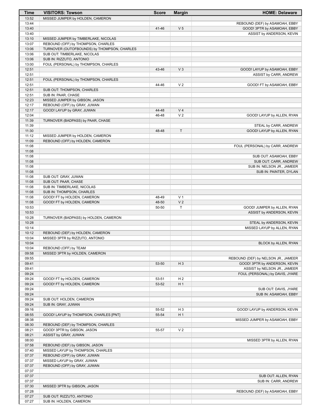| Time  | <b>VISITORS: Towson</b>                     | <b>Score</b> | <b>Margin</b>  | <b>HOME: Delaware</b>               |
|-------|---------------------------------------------|--------------|----------------|-------------------------------------|
| 13:52 | MISSED JUMPER by HOLDEN, CAMERON            |              |                |                                     |
| 13:44 |                                             |              |                | REBOUND (DEF) by ASAMOAH, EBBY      |
| 13:40 |                                             | 41-46        | V <sub>5</sub> | GOOD! 3PTR by ASAMOAH, EBBY         |
| 13:40 |                                             |              |                | ASSIST by ANDERSON, KEVIN           |
| 13:10 | MISSED JUMPER by TIMBERLAKE, NICOLAS        |              |                |                                     |
| 13:07 | REBOUND (OFF) by THOMPSON, CHARLES          |              |                |                                     |
| 13:06 | TURNOVER (OUTOFBOUNDS) by THOMPSON, CHARLES |              |                |                                     |
| 13:06 | SUB OUT: TIMBERLAKE, NICOLAS                |              |                |                                     |
| 13:06 | SUB IN: RIZZUTO, ANTONIO                    |              |                |                                     |
| 13:00 | FOUL (PERSONAL) by THOMPSON, CHARLES        |              |                |                                     |
| 12:51 |                                             | 43-46        | $V_3$          | GOOD! LAYUP by ASAMOAH, EBBY        |
| 12:51 |                                             |              |                | ASSIST by CARR, ANDREW              |
| 12:51 | FOUL (PERSONAL) by THOMPSON, CHARLES        |              |                |                                     |
| 12:51 |                                             | 44-46        | V <sub>2</sub> | GOOD! FT by ASAMOAH, EBBY           |
| 12:51 | SUB OUT: THOMPSON, CHARLES                  |              |                |                                     |
| 12:51 | SUB IN: PAAR, CHASE                         |              |                |                                     |
| 12:23 | MISSED JUMPER by GIBSON, JASON              |              |                |                                     |
| 12:17 | REBOUND (OFF) by GRAY, JUWAN                |              |                |                                     |
| 12:17 | GOOD! LAYUP by GRAY, JUWAN                  | 44-48        | V <sub>4</sub> |                                     |
| 12:04 |                                             | 46-48        | V <sub>2</sub> | GOOD! LAYUP by ALLEN, RYAN          |
| 11:39 | TURNOVER (BADPASS) by PAAR, CHASE           |              |                |                                     |
| 11:39 |                                             |              |                | STEAL by CARR, ANDREW               |
| 11:30 |                                             | 48-48        | $\top$         | GOOD! LAYUP by ALLEN, RYAN          |
| 11:12 | MISSED JUMPER by HOLDEN, CAMERON            |              |                |                                     |
| 11:09 | REBOUND (OFF) by HOLDEN, CAMERON            |              |                |                                     |
| 11:08 |                                             |              |                | FOUL (PERSONAL) by CARR, ANDREW     |
| 11:08 |                                             |              |                |                                     |
| 11:08 |                                             |              |                | SUB OUT: ASAMOAH, EBBY              |
| 11:08 |                                             |              |                | SUB OUT: CARR, ANDREW               |
| 11:08 |                                             |              |                | SUB IN: NELSON JR., JAMEER          |
| 11:08 |                                             |              |                | SUB IN: PAINTER, DYLAN              |
| 11:08 | SUB OUT: GRAY, JUWAN                        |              |                |                                     |
| 11:08 | SUB OUT: PAAR, CHASE                        |              |                |                                     |
|       |                                             |              |                |                                     |
| 11:08 | SUB IN: TIMBERLAKE, NICOLAS                 |              |                |                                     |
| 11:08 | SUB IN: THOMPSON, CHARLES                   |              |                |                                     |
| 11:08 | GOOD! FT by HOLDEN, CAMERON                 | 48-49        | V <sub>1</sub> |                                     |
| 11:08 | GOOD! FT by HOLDEN, CAMERON                 | 48-50        | V <sub>2</sub> |                                     |
| 10:53 |                                             | 50-50        | T              | GOOD! JUMPER by ALLEN, RYAN         |
| 10:53 |                                             |              |                | ASSIST by ANDERSON, KEVIN           |
| 10:28 | TURNOVER (BADPASS) by HOLDEN, CAMERON       |              |                |                                     |
| 10:28 |                                             |              |                | STEAL by ANDERSON, KEVIN            |
| 10:14 |                                             |              |                | MISSED LAYUP by ALLEN, RYAN         |
| 10:12 | REBOUND (DEF) by HOLDEN, CAMERON            |              |                |                                     |
| 10:04 | MISSED 3PTR by RIZZUTO, ANTONIO             |              |                |                                     |
| 10:04 |                                             |              |                | BLOCK by ALLEN, RYAN                |
| 10:04 | REBOUND (OFF) by TEAM                       |              |                |                                     |
| 09:58 | MISSED 3PTR by HOLDEN, CAMERON              |              |                |                                     |
| 09:55 |                                             |              |                | REBOUND (DEF) by NELSON JR., JAMEER |
| 09:41 |                                             | 53-50        | $H_3$          | GOOD! 3PTR by ANDERSON, KEVIN       |
| 09:41 |                                             |              |                | ASSIST by NELSON JR., JAMEER        |
| 09:24 |                                             |              |                | FOUL (PERSONAL) by DAVIS, JYARE     |
| 09:24 | GOOD! FT by HOLDEN, CAMERON                 | 53-51        | H <sub>2</sub> |                                     |
| 09:24 | GOOD! FT by HOLDEN, CAMERON                 | 53-52        | H <sub>1</sub> |                                     |
| 09:24 |                                             |              |                | SUB OUT: DAVIS, JYARE               |
| 09:24 |                                             |              |                | SUB IN: ASAMOAH, EBBY               |
| 09:24 | SUB OUT: HOLDEN, CAMERON                    |              |                |                                     |
| 09:24 | SUB IN: GRAY, JUWAN                         |              |                |                                     |
| 09:16 |                                             | 55-52        | H <sub>3</sub> | GOOD! LAYUP by ANDERSON, KEVIN      |
| 08:55 | GOOD! LAYUP by THOMPSON, CHARLES [PNT]      | 55-54        | H <sub>1</sub> |                                     |
| 08:38 |                                             |              |                | MISSED JUMPER by ASAMOAH, EBBY      |
| 08:30 | REBOUND (DEF) by THOMPSON, CHARLES          |              |                |                                     |
| 08:21 | GOOD! 3PTR by GIBSON, JASON                 | 55-57        | V <sub>2</sub> |                                     |
| 08:21 | ASSIST by GRAY, JUWAN                       |              |                |                                     |
| 08:00 |                                             |              |                | MISSED 3PTR by ALLEN, RYAN          |
| 07:58 | REBOUND (DEF) by GIBSON, JASON              |              |                |                                     |
| 07:40 | MISSED LAYUP by THOMPSON, CHARLES           |              |                |                                     |
| 07:37 | REBOUND (OFF) by GRAY, JUWAN                |              |                |                                     |
| 07:37 | MISSED LAYUP by GRAY, JUWAN                 |              |                |                                     |
| 07:37 | REBOUND (OFF) by GRAY, JUWAN                |              |                |                                     |
| 07:37 |                                             |              |                |                                     |
| 07:37 |                                             |              |                | SUB OUT: ALLEN, RYAN                |
| 07:37 |                                             |              |                | SUB IN: CARR, ANDREW                |
| 07:30 | MISSED 3PTR by GIBSON, JASON                |              |                |                                     |
| 07:28 |                                             |              |                | REBOUND (DEF) by ASAMOAH, EBBY      |
| 07:27 | SUB OUT: RIZZUTO, ANTONIO                   |              |                |                                     |
|       |                                             |              |                |                                     |
| 07:27 | SUB IN: HOLDEN, CAMERON                     |              |                |                                     |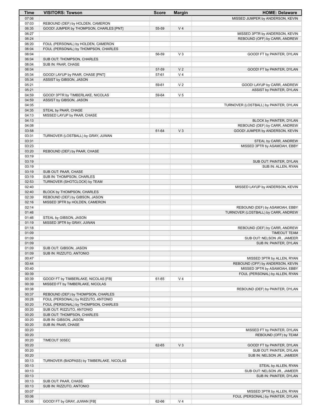| Time           | <b>VISITORS: Towson</b>                              | <b>Score</b> | <b>Margin</b>  | <b>HOME: Delaware</b>                                            |
|----------------|------------------------------------------------------|--------------|----------------|------------------------------------------------------------------|
| 07:06          |                                                      |              |                | MISSED JUMPER by ANDERSON, KEVIN                                 |
| 07:03          | REBOUND (DEF) by HOLDEN, CAMERON                     |              |                |                                                                  |
| 06:35          | GOOD! JUMPER by THOMPSON, CHARLES [PNT]              | 55-59        | V <sub>4</sub> |                                                                  |
| 06:27          |                                                      |              |                | MISSED 3PTR by ANDERSON, KEVIN                                   |
| 06:24          |                                                      |              |                | REBOUND (OFF) by CARR, ANDREW                                    |
| 06:20          | FOUL (PERSONAL) by HOLDEN, CAMERON                   |              |                |                                                                  |
| 06:04<br>06:04 | FOUL (PERSONAL) by THOMPSON, CHARLES                 | 56-59        | $V_3$          |                                                                  |
| 06:04          | SUB OUT: THOMPSON, CHARLES                           |              |                | GOOD! FT by PAINTER, DYLAN                                       |
| 06:04          | SUB IN: PAAR, CHASE                                  |              |                |                                                                  |
| 06:04          |                                                      | 57-59        | V <sub>2</sub> | GOOD! FT by PAINTER, DYLAN                                       |
| 05:34          | GOOD! LAYUP by PAAR, CHASE [PNT]                     | 57-61        | V <sub>4</sub> |                                                                  |
| 05:34          | ASSIST by GIBSON, JASON                              |              |                |                                                                  |
| 05:21          |                                                      | 59-61        | V <sub>2</sub> | GOOD! LAYUP by CARR, ANDREW                                      |
| 05:21          |                                                      |              |                | ASSIST by PAINTER, DYLAN                                         |
| 04:59          | GOOD! 3PTR by TIMBERLAKE, NICOLAS                    | 59-64        | V <sub>5</sub> |                                                                  |
| 04:59          | ASSIST by GIBSON, JASON                              |              |                |                                                                  |
| 04:35<br>04:35 |                                                      |              |                | TURNOVER (LOSTBALL) by PAINTER, DYLAN                            |
| 04:13          | STEAL by PAAR, CHASE<br>MISSED LAYUP by PAAR, CHASE  |              |                |                                                                  |
| 04:13          |                                                      |              |                | BLOCK by PAINTER, DYLAN                                          |
| 04:08          |                                                      |              |                | REBOUND (DEF) by CARR, ANDREW                                    |
| 03:58          |                                                      | 61-64        | $V_3$          | GOOD! JUMPER by ANDERSON, KEVIN                                  |
| 03:31          | TURNOVER (LOSTBALL) by GRAY, JUWAN                   |              |                |                                                                  |
| 03:31          |                                                      |              |                | STEAL by CARR, ANDREW                                            |
| 03:23          |                                                      |              |                | MISSED 3PTR by ASAMOAH, EBBY                                     |
| 03:20          | REBOUND (DEF) by PAAR, CHASE                         |              |                |                                                                  |
| 03:19          |                                                      |              |                |                                                                  |
| 03:19<br>03:19 |                                                      |              |                | SUB OUT: PAINTER, DYLAN                                          |
| 03:19          | SUB OUT: PAAR, CHASE                                 |              |                | SUB IN: ALLEN, RYAN                                              |
| 03:19          | SUB IN: THOMPSON, CHARLES                            |              |                |                                                                  |
| 02:53          | TURNOVER (SHOTCLOCK) by TEAM                         |              |                |                                                                  |
| 02:40          |                                                      |              |                | MISSED LAYUP by ANDERSON, KEVIN                                  |
| 02:40          | BLOCK by THOMPSON, CHARLES                           |              |                |                                                                  |
| 02:39          | REBOUND (DEF) by GIBSON, JASON                       |              |                |                                                                  |
| 02:16          | MISSED 3PTR by HOLDEN, CAMERON                       |              |                |                                                                  |
| 02:14          |                                                      |              |                | REBOUND (DEF) by ASAMOAH, EBBY                                   |
| 01:46          |                                                      |              |                | TURNOVER (LOSTBALL) by CARR, ANDREW                              |
| 01:46<br>01:19 | STEAL by GIBSON, JASON<br>MISSED 3PTR by GRAY, JUWAN |              |                |                                                                  |
| 01:18          |                                                      |              |                | REBOUND (DEF) by CARR, ANDREW                                    |
| 01:09          |                                                      |              |                | <b>TIMEOUT TEAM</b>                                              |
| 01:09          |                                                      |              |                | SUB OUT: NELSON JR., JAMEER                                      |
| 01:09          |                                                      |              |                | SUB IN: PAINTER, DYLAN                                           |
| 01:09          | SUB OUT: GIBSON, JASON                               |              |                |                                                                  |
| 01:09          | SUB IN: RIZZUTO, ANTONIO                             |              |                |                                                                  |
| 00:47          |                                                      |              |                | MISSED 3PTR by ALLEN, RYAN                                       |
| 00:44          |                                                      |              |                | REBOUND (OFF) by ANDERSON, KEVIN<br>MISSED 3PTR by ASAMOAH, EBBY |
| 00:40<br>00:39 |                                                      |              |                | FOUL (PERSONAL) by ALLEN, RYAN                                   |
| 00:39          | GOOD! FT by TIMBERLAKE, NICOLAS [FB]                 | 61-65        | V <sub>4</sub> |                                                                  |
| 00:39          | MISSED FT by TIMBERLAKE, NICOLAS                     |              |                |                                                                  |
| 00:38          |                                                      |              |                | REBOUND (DEF) by PAINTER, DYLAN                                  |
| 00:37          | REBOUND (DEF) by THOMPSON, CHARLES                   |              |                |                                                                  |
| 00:28          | FOUL (PERSONAL) by RIZZUTO, ANTONIO                  |              |                |                                                                  |
| 00:20          | FOUL (PERSONAL) by THOMPSON, CHARLES                 |              |                |                                                                  |
| 00:20          | SUB OUT: RIZZUTO, ANTONIO                            |              |                |                                                                  |
| 00:20          | SUB OUT: THOMPSON, CHARLES                           |              |                |                                                                  |
| 00:20<br>00:20 | SUB IN: GIBSON, JASON<br>SUB IN: PAAR, CHASE         |              |                |                                                                  |
| 00:20          |                                                      |              |                | MISSED FT by PAINTER, DYLAN                                      |
| 00:20          |                                                      |              |                | REBOUND (OFF) by TEAM                                            |
| 00:20          | TIMEOUT 30SEC                                        |              |                |                                                                  |
| 00:20          |                                                      | 62-65        | $V_3$          | GOOD! FT by PAINTER, DYLAN                                       |
| 00:20          |                                                      |              |                | SUB OUT: PAINTER, DYLAN                                          |
| 00:20          |                                                      |              |                | SUB IN: NELSON JR., JAMEER                                       |
| 00:13          | TURNOVER (BADPASS) by TIMBERLAKE, NICOLAS            |              |                |                                                                  |
| 00:13          |                                                      |              |                | STEAL by ALLEN, RYAN                                             |
| 00:13          |                                                      |              |                | SUB OUT: NELSON JR., JAMEER                                      |
| 00:13<br>00:13 | SUB OUT: PAAR, CHASE                                 |              |                | SUB IN: PAINTER, DYLAN                                           |
| 00:13          | SUB IN: RIZZUTO, ANTONIO                             |              |                |                                                                  |
| 00:07          |                                                      |              |                | MISSED 3PTR by ALLEN, RYAN                                       |
| 00:06          |                                                      |              |                | FOUL (PERSONAL) by PAINTER, DYLAN                                |
| 00:06          | GOOD! FT by GRAY, JUWAN [FB]                         | 62-66        | V <sub>4</sub> |                                                                  |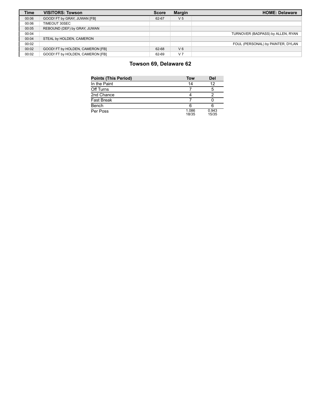| <b>Time</b> | <b>VISITORS: Towson</b>          | <b>Score</b> | <b>Margin</b>  | <b>HOME: Delaware</b>             |
|-------------|----------------------------------|--------------|----------------|-----------------------------------|
| 00:06       | GOOD! FT by GRAY, JUWAN [FB]     | 62-67        | V <sub>5</sub> |                                   |
| 00:06       | TIMEOUT 30SEC                    |              |                |                                   |
| 00:05       | REBOUND (DEF) by GRAY, JUWAN     |              |                |                                   |
| 00:04       |                                  |              |                | TURNOVER (BADPASS) by ALLEN, RYAN |
| 00:04       | STEAL by HOLDEN, CAMERON         |              |                |                                   |
| 00:02       |                                  |              |                | FOUL (PERSONAL) by PAINTER, DYLAN |
| 00:02       | GOOD! FT by HOLDEN, CAMERON [FB] | 62-68        | $V_6$          |                                   |
| 00:02       | GOOD! FT by HOLDEN, CAMERON [FB] | 62-69        | V <sub>7</sub> |                                   |

# **Towson 69, Delaware 62**

| <b>Points (This Period)</b> | Tow            | Del            |
|-----------------------------|----------------|----------------|
| In the Paint                | 14             | 12             |
| Off Turns                   |                | 5              |
| 2nd Chance                  |                |                |
| <b>Fast Break</b>           |                |                |
| Bench                       | 6              |                |
| Per Poss                    | 1.086<br>18/35 | 0.943<br>15/35 |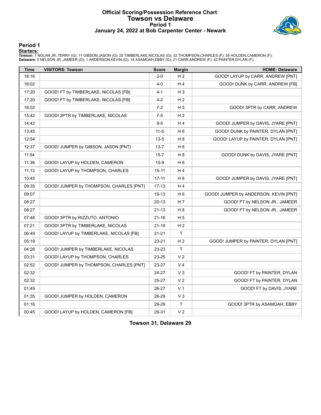### **Official Scoring/Possession Reference Chart Towson vs Delaware Period 1 January 24, 2022 at Bob Carpenter Center - Newark**



#### **Period 1**

#### **Starters:**

Towson: 1 NOLAN JR.,TERRY (G); 11 GIBSON,JASON (G); 25 TIMBERLAKE,NICOLAS (G); 32 THOMPSON,CHARLES (F); 55 HOLDEN,CAMERON (F);<br>**Delaware**: 0 NELSON JR.,JAMEER (G); 1 ANDERSON,KEVIN (G); 14 ASAMOAH,EBBY (G); 21 CARR,ANDREW

| <b>Time</b> | <b>VISITORS: Towson</b>                 | <b>Score</b> | <b>Margin</b>  | <b>HOME: Delaware</b>                 |
|-------------|-----------------------------------------|--------------|----------------|---------------------------------------|
| 18:16       |                                         | $2 - 0$      | H <sub>2</sub> | GOOD! LAYUP by CARR, ANDREW [PNT]     |
| 18:02       |                                         | $4 - 0$      | H 4            | GOOD! DUNK by CARR, ANDREW [FB]       |
| 17:20       | GOOD! FT by TIMBERLAKE, NICOLAS [FB]    | $4 - 1$      | $H_3$          |                                       |
| 17:20       | GOOD! FT by TIMBERLAKE, NICOLAS [FB]    | $4 - 2$      | H <sub>2</sub> |                                       |
| 16:02       |                                         | $7-2$        | H <sub>5</sub> | GOOD! 3PTR by CARR, ANDREW            |
| 15:42       | GOOD! 3PTR by TIMBERLAKE, NICOLAS       | $7-5$        | H <sub>2</sub> |                                       |
| 14:42       |                                         | $9-5$        | H 4            | GOOD! JUMPER by DAVIS, JYARE [PNT]    |
| 13:45       |                                         | $11 - 5$     | H <sub>6</sub> | GOOD! DUNK by PAINTER, DYLAN [PNT]    |
| 12:54       |                                         | $13 - 5$     | H <sub>8</sub> | GOOD! LAYUP by PAINTER, DYLAN [PNT]   |
| 12:37       | GOOD! JUMPER by GIBSON, JASON [PNT]     | $13 - 7$     | H 6            |                                       |
| 11:54       |                                         | $15 - 7$     | H 8            | GOOD! DUNK by DAVIS, JYARE [PNT]      |
| 11:39       | GOOD! LAYUP by HOLDEN, CAMERON          | $15-9$       | H <sub>6</sub> |                                       |
| 11:13       | GOOD! LAYUP by THOMPSON, CHARLES        | $15 - 11$    | H 4            |                                       |
| 10:45       |                                         | $17 - 11$    | H <sub>6</sub> | GOOD! JUMPER by DAVIS, JYARE [PNT]    |
| 09:35       | GOOD! JUMPER by THOMPSON, CHARLES [PNT] | $17-13$      | H 4            |                                       |
| 09:07       |                                         | 19-13        | H 6            | GOOD! JUMPER by ANDERSON, KEVIN [PNT] |
| 08:27       |                                         | 20-13        | H <sub>7</sub> | GOOD! FT by NELSON JR., JAMEER        |
| 08:27       |                                         | $21 - 13$    | H <sub>8</sub> | GOOD! FT by NELSON JR., JAMEER        |
| 07:48       | GOOD! 3PTR by RIZZUTO, ANTONIO          | 21-16        | H <sub>5</sub> |                                       |
| 07:21       | GOOD! 3PTR by TIMBERLAKE, NICOLAS       | 21-19        | H <sub>2</sub> |                                       |
| 06:49       | GOOD! LAYUP by TIMBERLAKE, NICOLAS [FB] | $21 - 21$    | $\mathsf{T}$   |                                       |
| 05:19       |                                         | 23-21        | H <sub>2</sub> | GOOD! JUMPER by PAINTER, DYLAN [PNT]  |
| 04:26       | GOOD! JUMPER by TIMBERLAKE, NICOLAS     | 23-23        | T              |                                       |
| 03:31       | GOOD! LAYUP by THOMPSON, CHARLES        | 23-25        | V <sub>2</sub> |                                       |
| 02:52       | GOOD! JUMPER by THOMPSON, CHARLES [PNT] | 23-27        | V <sub>4</sub> |                                       |
| 02:32       |                                         | 24-27        | $V_3$          | GOOD! FT by PAINTER, DYLAN            |
| 02:32       |                                         | 25-27        | V <sub>2</sub> | GOOD! FT by PAINTER, DYLAN            |
| 01:49       |                                         | 26-27        | V <sub>1</sub> | GOOD! FT by DAVIS, JYARE              |
| 01:35       | GOOD! JUMPER by HOLDEN, CAMERON         | 26-29        | $V_3$          |                                       |
| 01:16       |                                         | 29-29        | $\mathsf T$    | GOOD! 3PTR by ASAMOAH, EBBY           |
| 00:45       | GOOD! LAYUP by HOLDEN, CAMERON [FB]     | 29-31        | V <sub>2</sub> |                                       |

**Towson 31, Delaware 29**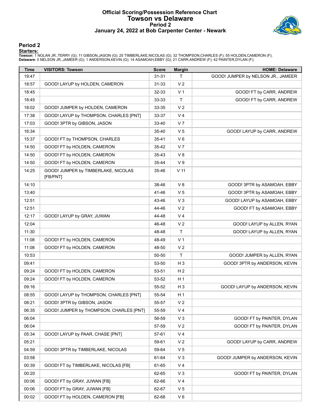#### **Official Scoring/Possession Reference Chart Towson vs Delaware Period 2 January 24, 2022 at Bob Carpenter Center - Newark**



#### **Period 2**

#### **Starters:**

Towson: 1 NOLAN JR.,TERRY (G); 11 GIBSON,JASON (G); 25 TIMBERLAKE,NICOLAS (G); 32 THOMPSON,CHARLES (F); 55 HOLDEN,CAMERON (F);<br>**Delaware**: 0 NELSON JR.,JAMEER (G); 1 ANDERSON,KEVIN (G); 14 ASAMOAH,EBBY (G); 21 CARR,ANDREW

| Time  | <b>VISITORS: Towson</b>                         | <b>Score</b> | <b>Margin</b>  | <b>HOME: Delaware</b>              |
|-------|-------------------------------------------------|--------------|----------------|------------------------------------|
| 19:47 |                                                 | $31 - 31$    | T.             | GOOD! JUMPER by NELSON JR., JAMEER |
| 18:57 | GOOD! LAYUP by HOLDEN, CAMERON                  | 31-33        | V <sub>2</sub> |                                    |
| 18:45 |                                                 | 32-33        | V <sub>1</sub> | GOOD! FT by CARR, ANDREW           |
| 18:45 |                                                 | 33-33        | $\mathsf T$    | GOOD! FT by CARR, ANDREW           |
| 18:02 | GOOD! JUMPER by HOLDEN, CAMERON                 | 33-35        | V <sub>2</sub> |                                    |
| 17:38 | GOOD! LAYUP by THOMPSON, CHARLES [PNT]          | 33-37        | V <sub>4</sub> |                                    |
| 17:03 | GOOD! 3PTR by GIBSON, JASON                     | 33-40        | V <sub>7</sub> |                                    |
| 16:34 |                                                 | 35-40        | V <sub>5</sub> | GOOD! LAYUP by CARR, ANDREW        |
| 15:37 | GOOD! FT by THOMPSON, CHARLES                   | $35 - 41$    | $V_6$          |                                    |
| 14:50 | GOOD! FT by HOLDEN, CAMERON                     | 35-42        | V <sub>7</sub> |                                    |
| 14:50 | GOOD! FT by HOLDEN, CAMERON                     | 35-43        | V8             |                                    |
| 14:50 | GOOD! FT by HOLDEN, CAMERON                     | 35-44        | V <sub>9</sub> |                                    |
| 14:25 | GOOD! JUMPER by TIMBERLAKE, NICOLAS<br>[FB/PNT] | 35-46        | $V$ 11         |                                    |
| 14:10 |                                                 | 38-46        | V8             | GOOD! 3PTR by ASAMOAH, EBBY        |
| 13:40 |                                                 | 41-46        | V <sub>5</sub> | GOOD! 3PTR by ASAMOAH, EBBY        |
| 12:51 |                                                 | 43-46        | V <sub>3</sub> | GOOD! LAYUP by ASAMOAH, EBBY       |
| 12:51 |                                                 | 44-46        | V <sub>2</sub> | GOOD! FT by ASAMOAH, EBBY          |
| 12:17 | GOOD! LAYUP by GRAY, JUWAN                      | 44-48        | V <sub>4</sub> |                                    |
| 12:04 |                                                 | 46-48        | V <sub>2</sub> | GOOD! LAYUP by ALLEN, RYAN         |
| 11:30 |                                                 | 48-48        | $\mathsf{T}$   | GOOD! LAYUP by ALLEN, RYAN         |
| 11:08 | GOOD! FT by HOLDEN, CAMERON                     | 48-49        | V <sub>1</sub> |                                    |
| 11:08 | GOOD! FT by HOLDEN, CAMERON                     | 48-50        | V <sub>2</sub> |                                    |
| 10:53 |                                                 | 50-50        | $\top$         | GOOD! JUMPER by ALLEN, RYAN        |
| 09:41 |                                                 | 53-50        | $H_3$          | GOOD! 3PTR by ANDERSON, KEVIN      |
| 09:24 | GOOD! FT by HOLDEN, CAMERON                     | 53-51        | H <sub>2</sub> |                                    |
| 09:24 | GOOD! FT by HOLDEN, CAMERON                     | 53-52        | H <sub>1</sub> |                                    |
| 09:16 |                                                 | 55-52        | $H_3$          | GOOD! LAYUP by ANDERSON, KEVIN     |
| 08:55 | GOOD! LAYUP by THOMPSON, CHARLES [PNT]          | 55-54        | H <sub>1</sub> |                                    |
| 08:21 | GOOD! 3PTR by GIBSON, JASON                     | 55-57        | V <sub>2</sub> |                                    |
| 06:35 | GOOD! JUMPER by THOMPSON, CHARLES [PNT]         | 55-59        | V <sub>4</sub> |                                    |
| 06:04 |                                                 | 56-59        | $V_3$          | GOOD! FT by PAINTER, DYLAN         |
| 06:04 |                                                 | 57-59        | V <sub>2</sub> | GOOD! FT by PAINTER, DYLAN         |
| 05:34 | GOOD! LAYUP by PAAR, CHASE [PNT]                | 57-61        | V <sub>4</sub> |                                    |
| 05:21 |                                                 | 59-61        | V <sub>2</sub> | GOOD! LAYUP by CARR, ANDREW        |
| 04:59 | GOOD! 3PTR by TIMBERLAKE, NICOLAS               | 59-64        | V <sub>5</sub> |                                    |
| 03:58 |                                                 | 61-64        | $V_3$          | GOOD! JUMPER by ANDERSON, KEVIN    |
| 00:39 | GOOD! FT by TIMBERLAKE, NICOLAS [FB]            | 61-65        | V <sub>4</sub> |                                    |
| 00:20 |                                                 | 62-65        | $V_3$          | GOOD! FT by PAINTER, DYLAN         |
| 00:06 | GOOD! FT by GRAY, JUWAN [FB]                    | 62-66        | V <sub>4</sub> |                                    |
| 00:06 | GOOD! FT by GRAY, JUWAN [FB]                    | 62-67        | V <sub>5</sub> |                                    |
| 00:02 | GOOD! FT by HOLDEN, CAMERON [FB]                | 62-68        | $V_6$          |                                    |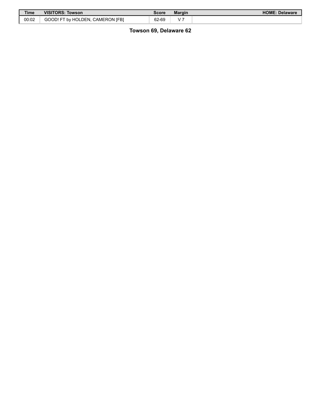| <b>Time</b> | <b>VISITORS: Towson</b>          | Score | <b>Margin</b> | <b>HOME: Delaware</b> |
|-------------|----------------------------------|-------|---------------|-----------------------|
| 00:02       | GOOD! FT by HOLDEN, CAMERON IFBI | 62-69 | v             |                       |

**Towson 69, Delaware 62**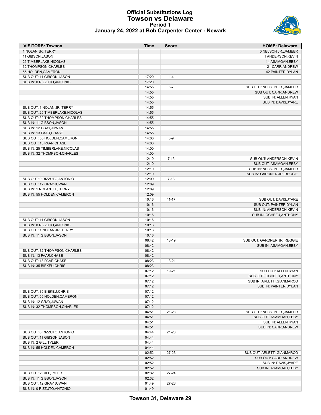### **Official Substitutions Log Towson vs Delaware Period 1 January 24, 2022 at Bob Carpenter Center - Newark**



| <b>VISITORS: Towson</b>                          | Time           | <b>Score</b> | <b>HOME: Delaware</b>        |
|--------------------------------------------------|----------------|--------------|------------------------------|
| 1 NOLAN JR., TERRY                               |                |              | 0 NELSON JR., JAMEER         |
| 11 GIBSON, JASON                                 |                |              | 1 ANDERSON, KEVIN            |
| 25 TIMBERLAKE, NICOLAS                           |                |              | 14 ASAMOAH, EBBY             |
| 32 THOMPSON, CHARLES                             |                |              | 21 CARR, ANDREW              |
| 55 HOLDEN, CAMERON                               |                |              | 42 PAINTER, DYLAN            |
| SUB OUT: 11 GIBSON, JASON                        | 17:20          | $1 - 4$      |                              |
| SUB IN: 0 RIZZUTO, ANTONIO                       | 17:20          |              |                              |
|                                                  | 14:55          | $5 - 7$      | SUB OUT: NELSON JR., JAMEER  |
|                                                  | 14:55          |              | SUB OUT: CARR, ANDREW        |
|                                                  | 14:55          |              | SUB IN: ALLEN, RYAN          |
|                                                  | 14:55          |              | SUB IN: DAVIS, JYARE         |
| SUB OUT: 1 NOLAN JR., TERRY                      | 14:55          |              |                              |
| SUB OUT: 25 TIMBERLAKE, NICOLAS                  | 14:55          |              |                              |
| SUB OUT: 32 THOMPSON, CHARLES                    | 14:55          |              |                              |
| SUB IN: 11 GIBSON, JASON                         | 14:55          |              |                              |
| SUB IN: 12 GRAY, JUWAN<br>SUB IN: 13 PAAR, CHASE | 14:55<br>14:55 |              |                              |
| SUB OUT: 55 HOLDEN, CAMERON                      | 14:00          | $5-9$        |                              |
| SUB OUT: 13 PAAR, CHASE                          | 14:00          |              |                              |
| SUB IN: 25 TIMBERLAKE, NICOLAS                   | 14:00          |              |                              |
| SUB IN: 32 THOMPSON, CHARLES                     | 14:00          |              |                              |
|                                                  | 12:10          | $7 - 13$     | SUB OUT: ANDERSON, KEVIN     |
|                                                  | 12:10          |              | SUB OUT: ASAMOAH, EBBY       |
|                                                  | 12:10          |              | SUB IN: NELSON JR., JAMEER   |
|                                                  | 12:10          |              | SUB IN: GARDNER JR., REGGIE  |
| SUB OUT: 0 RIZZUTO, ANTONIO                      | 12:09          | $7 - 13$     |                              |
| SUB OUT: 12 GRAY, JUWAN                          | 12:09          |              |                              |
| SUB IN: 1 NOLAN JR., TERRY                       | 12:09          |              |                              |
| SUB IN: 55 HOLDEN, CAMERON                       | 12:09          |              |                              |
|                                                  | 10:16          | $11 - 17$    | SUB OUT: DAVIS, JYARE        |
|                                                  | 10:16          |              | SUB OUT: PAINTER, DYLAN      |
|                                                  | 10:16          |              | SUB IN: ANDERSON, KEVIN      |
|                                                  | 10:16          |              | SUB IN: OCHEFU, ANTHONY      |
| SUB OUT: 11 GIBSON, JASON                        | 10:16          |              |                              |
| SUB IN: 0 RIZZUTO, ANTONIO                       | 10:16          |              |                              |
| SUB OUT: 1 NOLAN JR., TERRY                      | 10:16          |              |                              |
| SUB IN: 11 GIBSON, JASON                         | 10:16          |              |                              |
|                                                  | 08:42          | 13-19        | SUB OUT: GARDNER JR., REGGIE |
|                                                  | 08:42          |              | SUB IN: ASAMOAH, EBBY        |
| SUB OUT: 32 THOMPSON, CHARLES                    | 08:42          |              |                              |
| SUB IN: 13 PAAR, CHASE                           | 08:42          |              |                              |
| SUB OUT: 13 PAAR, CHASE                          | 08:23          | $13 - 21$    |                              |
| SUB IN: 35 BIEKEU.CHRIS                          | 08:23          |              |                              |
|                                                  | 07:12          | 19-21        | SUB OUT: ALLEN, RYAN         |
|                                                  | 07:12          |              | SUB OUT: OCHEFU, ANTHONY     |
|                                                  | 07:12          |              | SUB IN: ARLETTI, GIANMARCO   |
|                                                  | 07:12          |              | SUB IN: PAINTER, DYLAN       |
| SUB OUT: 35 BIEKEU, CHRIS                        | 07:12          |              |                              |
| SUB OUT: 55 HOLDEN, CAMERON                      | 07:12          |              |                              |
| SUB IN: 12 GRAY, JUWAN                           | 07:12          |              |                              |
| SUB IN: 32 THOMPSON, CHARLES                     | 07:12          |              | SUB OUT: NELSON JR., JAMEER  |
|                                                  | 04:51          | 21-23        | SUB OUT: ASAMOAH, EBBY       |
|                                                  | 04:51<br>04:51 |              | SUB IN: ALLEN, RYAN          |
|                                                  | 04:51          |              | SUB IN: CARR, ANDREW         |
| SUB OUT: 0 RIZZUTO, ANTONIO                      | 04:44          | 21-23        |                              |
| SUB OUT: 11 GIBSON, JASON                        | 04:44          |              |                              |
| SUB IN: 2 GILL, TYLER                            | 04:44          |              |                              |
| SUB IN: 55 HOLDEN, CAMERON                       | 04:44          |              |                              |
|                                                  | 02:52          | 27-23        | SUB OUT: ARLETTI, GIANMARCO  |
|                                                  | 02:52          |              | SUB OUT: CARR, ANDREW        |
|                                                  | 02:52          |              | SUB IN: DAVIS, JYARE         |
|                                                  | 02:52          |              | SUB IN: ASAMOAH, EBBY        |
| SUB OUT: 2 GILL, TYLER                           | 02:32          | $27 - 24$    |                              |
| SUB IN: 11 GIBSON, JASON                         | 02:32          |              |                              |
| SUB OUT: 12 GRAY, JUWAN                          | 01:49          | 27-26        |                              |
| SUB IN: 0 RIZZUTO, ANTONIO                       | 01:49          |              |                              |